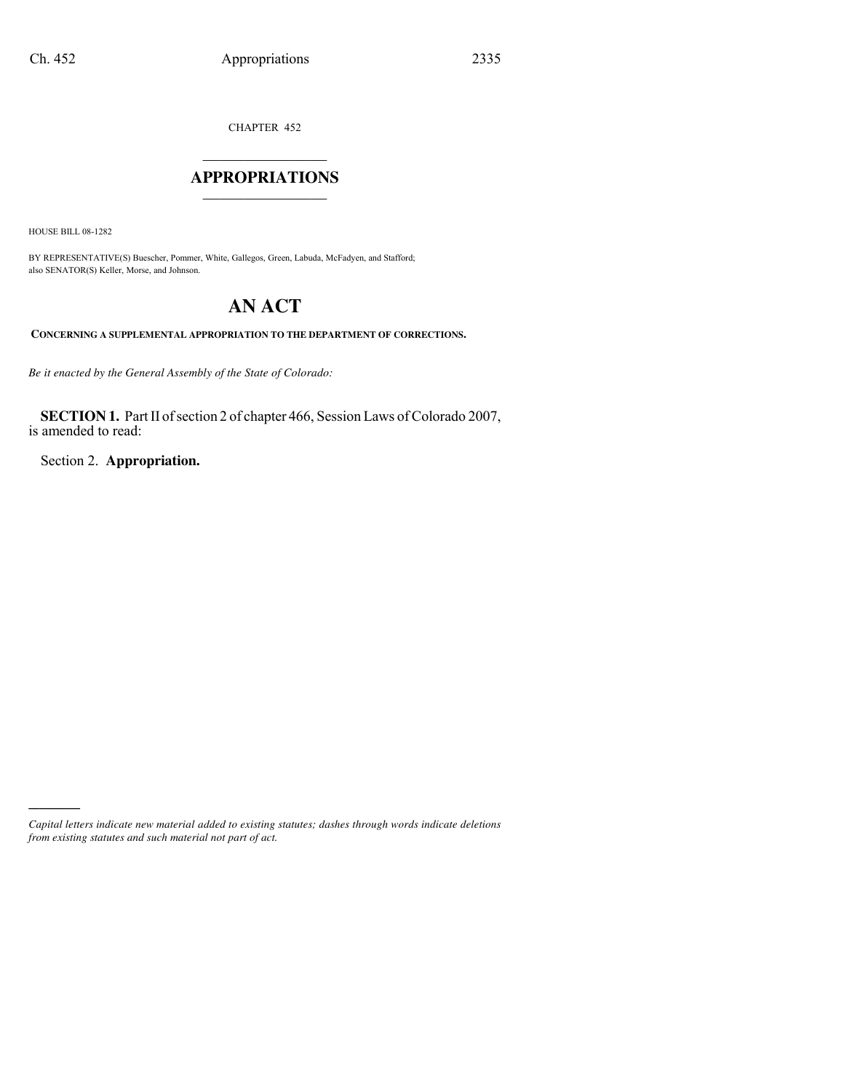CHAPTER 452

# $\mathcal{L}_\text{max}$  , where  $\mathcal{L}_\text{max}$ **APPROPRIATIONS** \_\_\_\_\_\_\_\_\_\_\_\_\_\_\_

HOUSE BILL 08-1282

)))))

BY REPRESENTATIVE(S) Buescher, Pommer, White, Gallegos, Green, Labuda, McFadyen, and Stafford; also SENATOR(S) Keller, Morse, and Johnson.

# **AN ACT**

**CONCERNING A SUPPLEMENTAL APPROPRIATION TO THE DEPARTMENT OF CORRECTIONS.**

*Be it enacted by the General Assembly of the State of Colorado:*

**SECTION 1.** Part II of section 2 of chapter 466, Session Laws of Colorado 2007, is amended to read:

Section 2. **Appropriation.**

*Capital letters indicate new material added to existing statutes; dashes through words indicate deletions from existing statutes and such material not part of act.*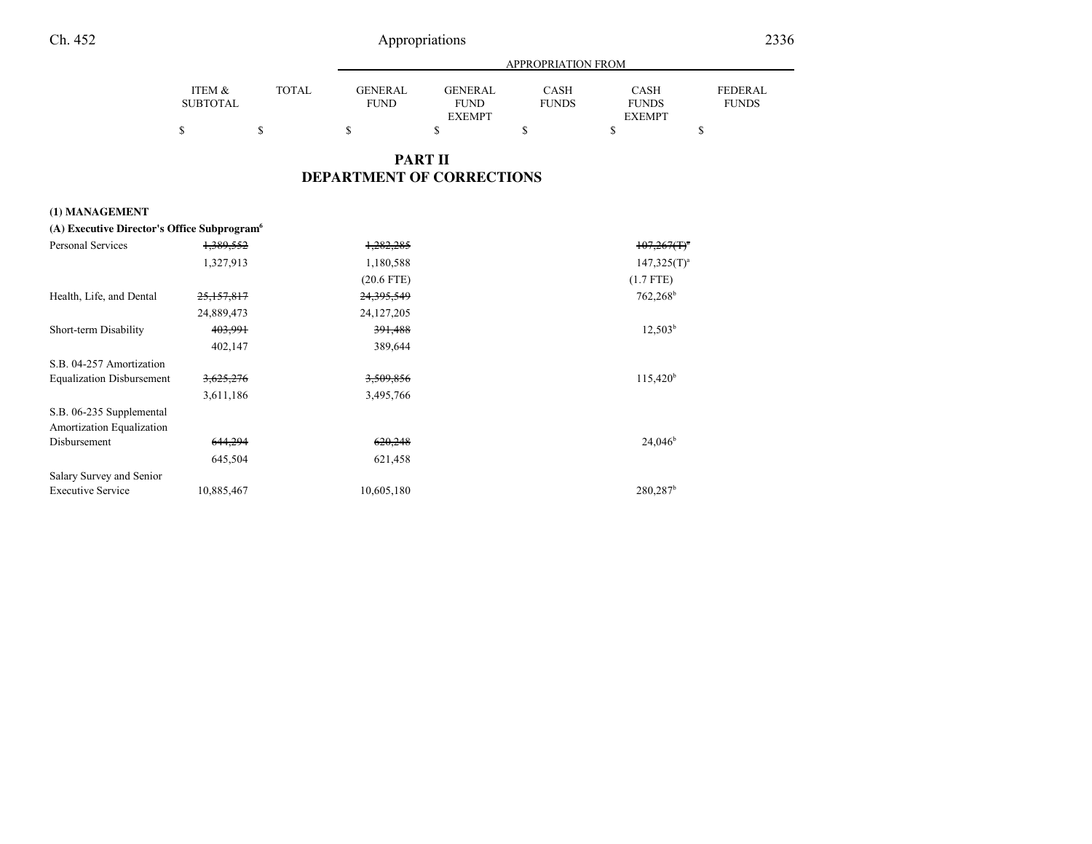# Appropriations

|  |  | ı |
|--|--|---|

|                 |              | APPROPRIATION FROM |               |              |               |                |
|-----------------|--------------|--------------------|---------------|--------------|---------------|----------------|
| ITEM &          | <b>TOTAL</b> | GENERAL            | GENERAL       | CASH         | <b>CASH</b>   | <b>FEDERAL</b> |
| <b>SUBTOTAL</b> |              | <b>FUND</b>        | <b>FUND</b>   | <b>FUNDS</b> | <b>FUNDS</b>  | <b>FUNDS</b>   |
|                 |              |                    | <b>EXEMPT</b> |              | <b>EXEMPT</b> |                |
|                 |              |                    |               |              |               |                |

# **PART IIDEPARTMENT OF CORRECTIONS**

### **(1) MANAGEMENT**

| (A) Executive Director's Office Subprogram <sup>6</sup> |            |              |                        |
|---------------------------------------------------------|------------|--------------|------------------------|
| Personal Services                                       | 1,389,552  | 1,282,285    | $107,267(T)^4$         |
|                                                         | 1,327,913  | 1,180,588    | $147,325(T)^a$         |
|                                                         |            | $(20.6$ FTE) | $(1.7$ FTE)            |
| Health, Life, and Dental                                | 25,157,817 | 24,395,549   | $762,268^{\rm b}$      |
|                                                         | 24,889,473 | 24, 127, 205 |                        |
| Short-term Disability                                   | 403,991    | 391,488      | $12,503^b$             |
|                                                         | 402,147    | 389,644      |                        |
| S.B. 04-257 Amortization                                |            |              |                        |
| <b>Equalization Disbursement</b>                        | 3,625,276  | 3,509,856    | $115,420^b$            |
|                                                         | 3,611,186  | 3,495,766    |                        |
| S.B. 06-235 Supplemental                                |            |              |                        |
| Amortization Equalization                               |            |              |                        |
| Disbursement                                            | 644,294    | 620,248      | $24,046^b$             |
|                                                         | 645,504    | 621,458      |                        |
| Salary Survey and Senior                                |            |              |                        |
| <b>Executive Service</b>                                | 10,885,467 | 10,605,180   | $280,287$ <sup>b</sup> |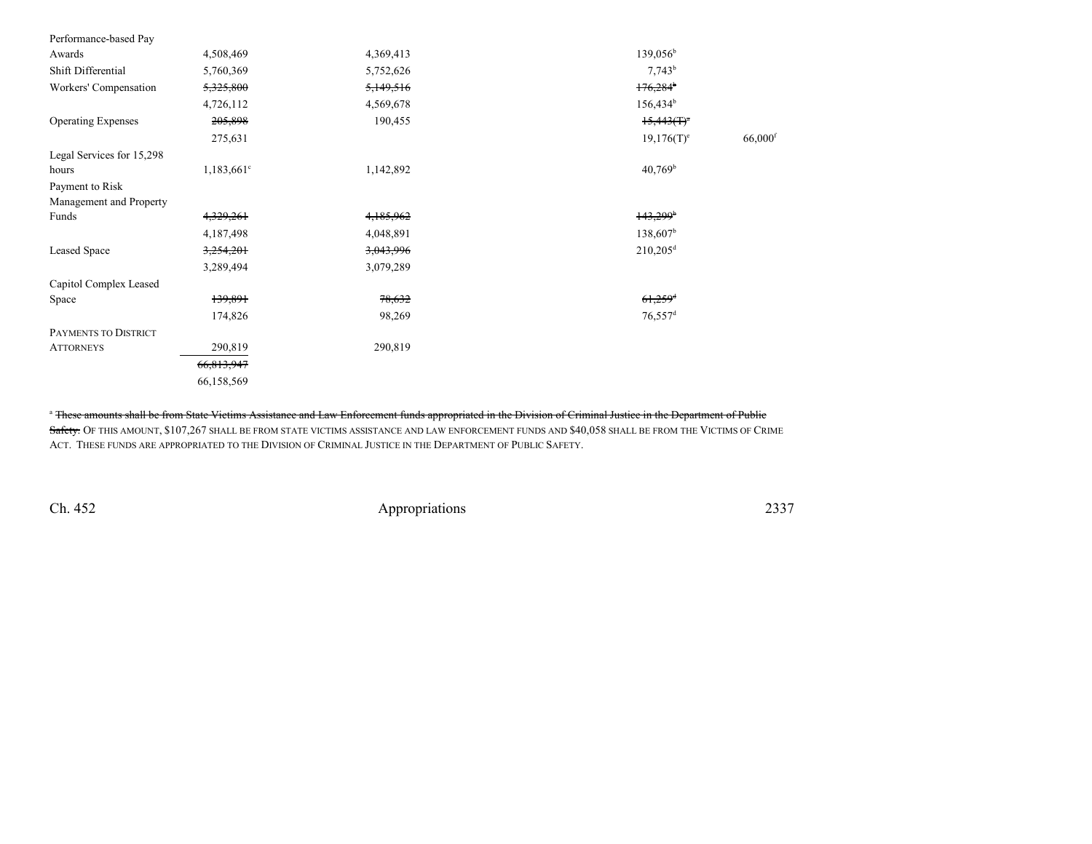| Performance-based Pay     |                          |           |                                        |
|---------------------------|--------------------------|-----------|----------------------------------------|
| Awards                    | 4,508,469                | 4,369,413 | $139,056^b$                            |
| Shift Differential        | 5,760,369                | 5,752,626 | $7,743^b$                              |
| Workers' Compensation     | 5,325,800                | 5,149,516 | 176,284                                |
|                           | 4,726,112                | 4,569,678 | $156,434^b$                            |
| <b>Operating Expenses</b> | 205,898                  | 190,455   | $15,443(f)^3$                          |
|                           | 275,631                  |           | $66,000$ <sup>f</sup><br>$19,176(T)^e$ |
| Legal Services for 15,298 |                          |           |                                        |
| hours                     | $1,183,661$ <sup>c</sup> | 1,142,892 | $40,769^{\rm b}$                       |
| Payment to Risk           |                          |           |                                        |
| Management and Property   |                          |           |                                        |
| Funds                     | 4,329,261                | 4,185,962 | $143,299$ <sup>b</sup>                 |
|                           | 4,187,498                | 4,048,891 | $138,607^{\rm b}$                      |
| Leased Space              | 3,254,201                | 3,043,996 | $210,205$ <sup>d</sup>                 |
|                           | 3,289,494                | 3,079,289 |                                        |
| Capitol Complex Leased    |                          |           |                                        |
| Space                     | 139,891                  | 78,632    | $61,259$ <sup>d</sup>                  |
|                           | 174,826                  | 98,269    | $76,557$ <sup>d</sup>                  |
| PAYMENTS TO DISTRICT      |                          |           |                                        |
| <b>ATTORNEYS</b>          | 290,819                  | 290,819   |                                        |
|                           | 66,813,947               |           |                                        |
|                           | 66,158,569               |           |                                        |

<sup>a</sup> These amounts shall be from State Victims Assistance and Law Enforcement funds appropriated in the Division of Criminal Justice in the Department of Public

<mark>Safety.</mark> Of this amount, \$107,267 shall be from state victims assistance and law enforcement funds and \$40,058 shall be from the Victims of Crime ACT. THESE FUNDS ARE APPROPRIATED TO THE DIVISION OF CRIMINAL JUSTICE IN THE DEPARTMENT OF PUBLIC SAFETY.

Ch. 452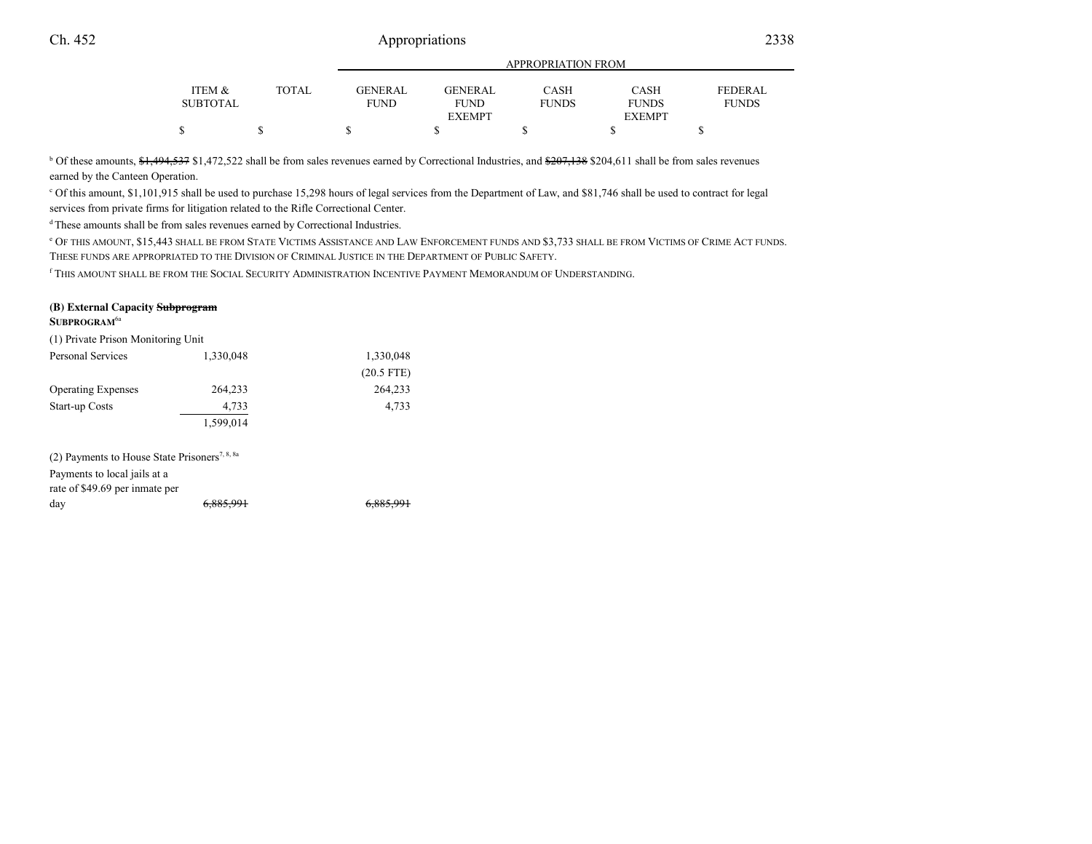# 2338 Appropriations

|              | , 11   110   111   1110   1110   11 |                        |                      |                      |                         |
|--------------|-------------------------------------|------------------------|----------------------|----------------------|-------------------------|
| <b>TOTAL</b> | <b>GENERAL</b><br>FUND              | <b>GENERAL</b><br>FUND | CASH<br><b>FUNDS</b> | CASH<br><b>FUNDS</b> | FEDERAL<br><b>FUNDS</b> |
|              |                                     |                        |                      |                      |                         |
|              |                                     |                        | <b>EXEMPT</b>        |                      | <b>EXEMPT</b>           |

APPROPRIATION FROM

<sup>b</sup> Of these amounts, \$1,494,537 \$1,472,522 shall be from sales revenues earned by Correctional Industries, and \$207,138 \$204,611 shall be from sales revenues earned by the Canteen Operation.

c Of this amount, \$1,101,915 shall be used to purchase 15,298 hours of legal services from the Department of Law, and \$81,746 shall be used to contract for legalservices from private firms for litigation related to the Rifle Correctional Center.

d These amounts shall be from sales revenues earned by Correctional Industries.

<sup>e</sup> OF THIS AMOUNT, \$15,443 SHALL BE FROM STATE VICTIMS ASSISTANCE AND LAW ENFORCEMENT FUNDS AND \$3,733 SHALL BE FROM VICTIMS OF CRIME ACT FUNDS. THESE FUNDS ARE APPROPRIATED TO THE DIVISION OF CRIMINAL JUSTICE IN THE DEPARTMENT OF PUBLIC SAFETY.

<sup>f</sup> THIS AMOUNT SHALL BE FROM THE SOCIAL SECURITY ADMINISTRATION INCENTIVE PAYMENT MEMORANDUM OF UNDERSTANDING.

#### **(B) External Capacity SubprogramSUBPROGRAM**6a

| (1) Private Prison Monitoring Unit                                                                                          |           |              |
|-----------------------------------------------------------------------------------------------------------------------------|-----------|--------------|
| <b>Personal Services</b>                                                                                                    | 1,330,048 | 1,330,048    |
|                                                                                                                             |           | $(20.5$ FTE) |
| <b>Operating Expenses</b>                                                                                                   | 264,233   | 264,233      |
| Start-up Costs                                                                                                              | 4,733     | 4,733        |
|                                                                                                                             | 1,599,014 |              |
| (2) Payments to House State Prisoners <sup>7, 8, 8a</sup><br>Payments to local jails at a<br>rate of \$49.69 per inmate per |           |              |
| day                                                                                                                         |           |              |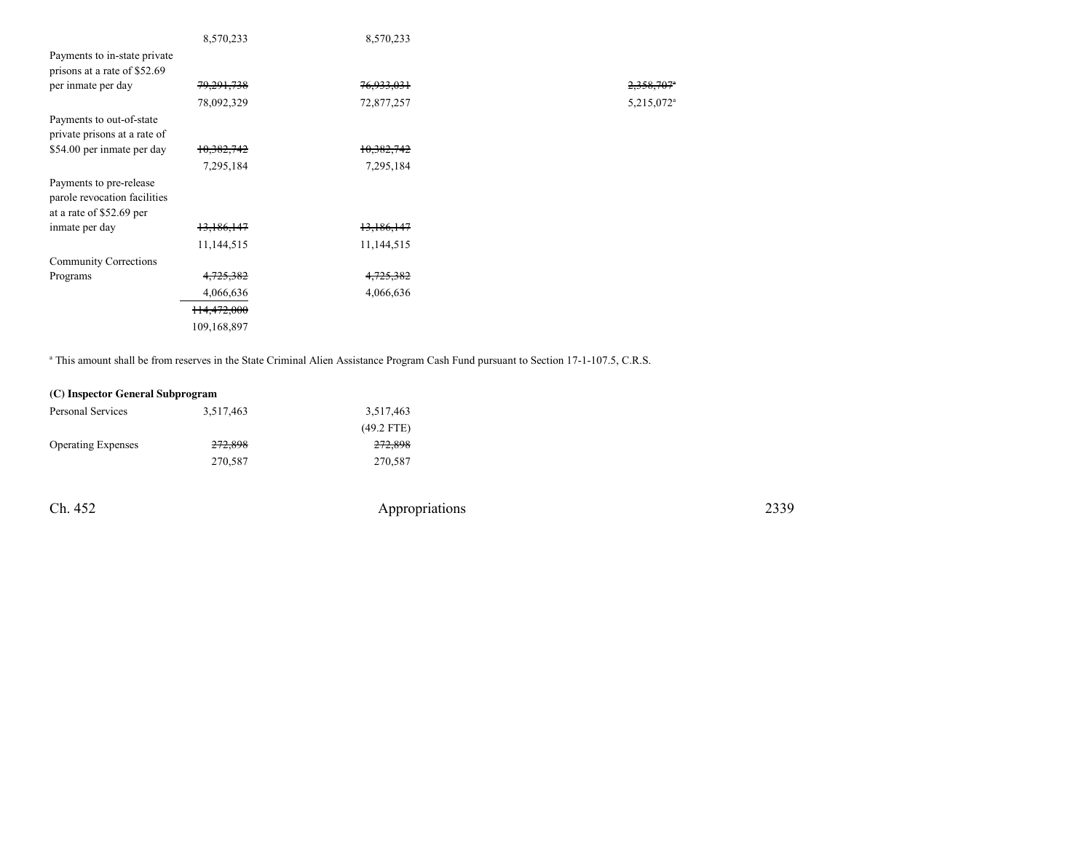|                              | 8,570,233             | 8,570,233  |                        |
|------------------------------|-----------------------|------------|------------------------|
| Payments to in-state private |                       |            |                        |
| prisons at a rate of \$52.69 |                       |            |                        |
| per inmate per day           | <del>79,291,738</del> | 76,933,031 | 2,358,707*             |
|                              | 78,092,329            | 72,877,257 | 5,215,072 <sup>a</sup> |
| Payments to out-of-state     |                       |            |                        |
| private prisons at a rate of |                       |            |                        |
| \$54.00 per inmate per day   | 10,382,742            | 10,382,742 |                        |
|                              | 7,295,184             | 7,295,184  |                        |
| Payments to pre-release      |                       |            |                        |
| parole revocation facilities |                       |            |                        |
| at a rate of \$52.69 per     |                       |            |                        |
| inmate per day               | 13,186,147            | 13,186,147 |                        |
|                              | 11,144,515            | 11,144,515 |                        |
| <b>Community Corrections</b> |                       |            |                        |
| Programs                     | 4,725,382             | 4,725,382  |                        |
|                              | 4,066,636             | 4,066,636  |                        |
|                              | 114,472,000           |            |                        |
|                              | 109,168,897           |            |                        |
|                              |                       |            |                        |

<sup>a</sup> This amount shall be from reserves in the State Criminal Alien Assistance Program Cash Fund pursuant to Section 17-1-107.5, C.R.S.

## **(C) Inspector General Subprogram**

| Personal Services         | 3,517,463          | 3,517,463    |
|---------------------------|--------------------|--------------|
|                           |                    | $(49.2$ FTE) |
| <b>Operating Expenses</b> | <del>272,898</del> | 272,898      |
|                           | 270.587            | 270,587      |

Ch. 452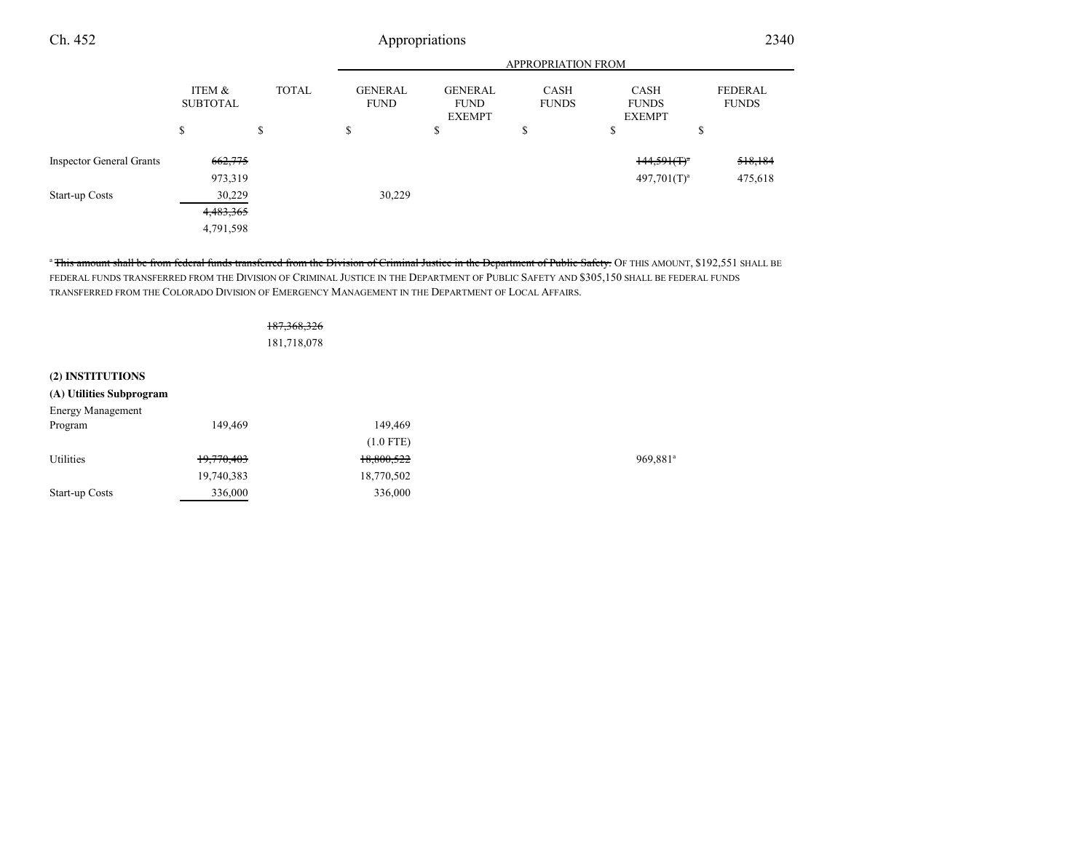#### APPROPRIATION FROMITEM & SUBTOTALTOTAL GENERAL FUNDGENERALFUND EXEMPTCASH FUNDSCASH FUNDS EXEMPTFEDERAL FUNDS $s$  s  $s$  s s s Ch. 4522340 Inspector General Grants  $662,775$   $662,775$ 973,3199  $497,701(T)^{a}$   $475,618$ Start-up Costs 30,229 30,229 4,483,365

"<del>This amount shall be from federal funds transferred from the Division of Criminal Justice in the Department of Public Safety. OF THIS AMOUNT, \$192,551 SHALL BE</del> FEDERAL FUNDS TRANSFERRED FROM THE DIVISION OF CRIMINAL JUSTICE IN THE DEPARTMENT OF PUBLIC SAFETY AND \$305,150 SHALL BE FEDERAL FUNDSTRANSFERRED FROM THE COLORADO DIVISION OF EMERGENCY MANAGEMENT IN THE DEPARTMENT OF LOCAL AFFAIRS.

#### 187,368,326

4,791,598

181,718,078

### **(2) INSTITUTIONS**

| (A) Utilities Subprogram |            |             |                      |
|--------------------------|------------|-------------|----------------------|
| <b>Energy Management</b> |            |             |                      |
| Program                  | 149,469    | 149.469     |                      |
|                          |            | $(1.0$ FTE) |                      |
| Utilities                | 19,770,403 | 18,800,522  | 969,881 <sup>a</sup> |
|                          | 19,740,383 | 18,770,502  |                      |
| Start-up Costs           | 336,000    | 336,000     |                      |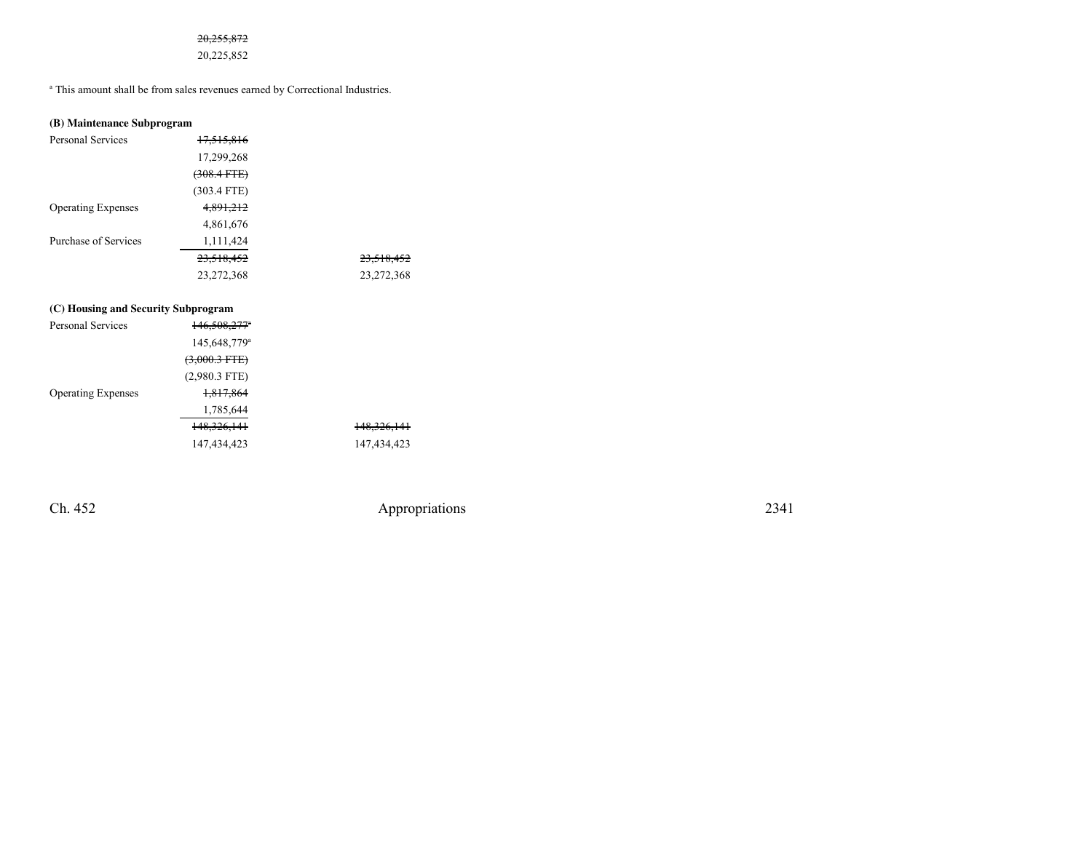### 20,255,872

20,225,852

a This amount shall be from sales revenues earned by Correctional Industries.

| (B) Maintenance Subprogram |                       |  |  |
|----------------------------|-----------------------|--|--|
| Personal Services          | <del>17,515,816</del> |  |  |
|                            | 17,299,268            |  |  |
|                            | $(308.4$ FTE)         |  |  |
|                            | $(303.4$ FTE)         |  |  |
| <b>Operating Expenses</b>  | 4,891,212             |  |  |
|                            | 4,861,676             |  |  |

| Purchase of Services | 1.111.424  |            |
|----------------------|------------|------------|
|                      | 23,518,452 | 23,518,452 |
|                      | 23.272.368 | 23,272,368 |

### **(C) Housing and Security Subprogram**

| <b>Personal Services</b>  | $146,508,277$ <sup>*</sup> |                        |
|---------------------------|----------------------------|------------------------|
|                           | 145,648,779 <sup>a</sup>   |                        |
|                           | <del>(3,000.3 FTE)</del>   |                        |
|                           | $(2,980.3$ FTE)            |                        |
| <b>Operating Expenses</b> | 1,817,864                  |                        |
|                           | 1,785,644                  |                        |
|                           | 148, 326, 141              | <del>148,326,141</del> |
|                           | 147,434,423                | 147,434,423            |
|                           |                            |                        |

Ch. 452

Appropriations <sup>2341</sup>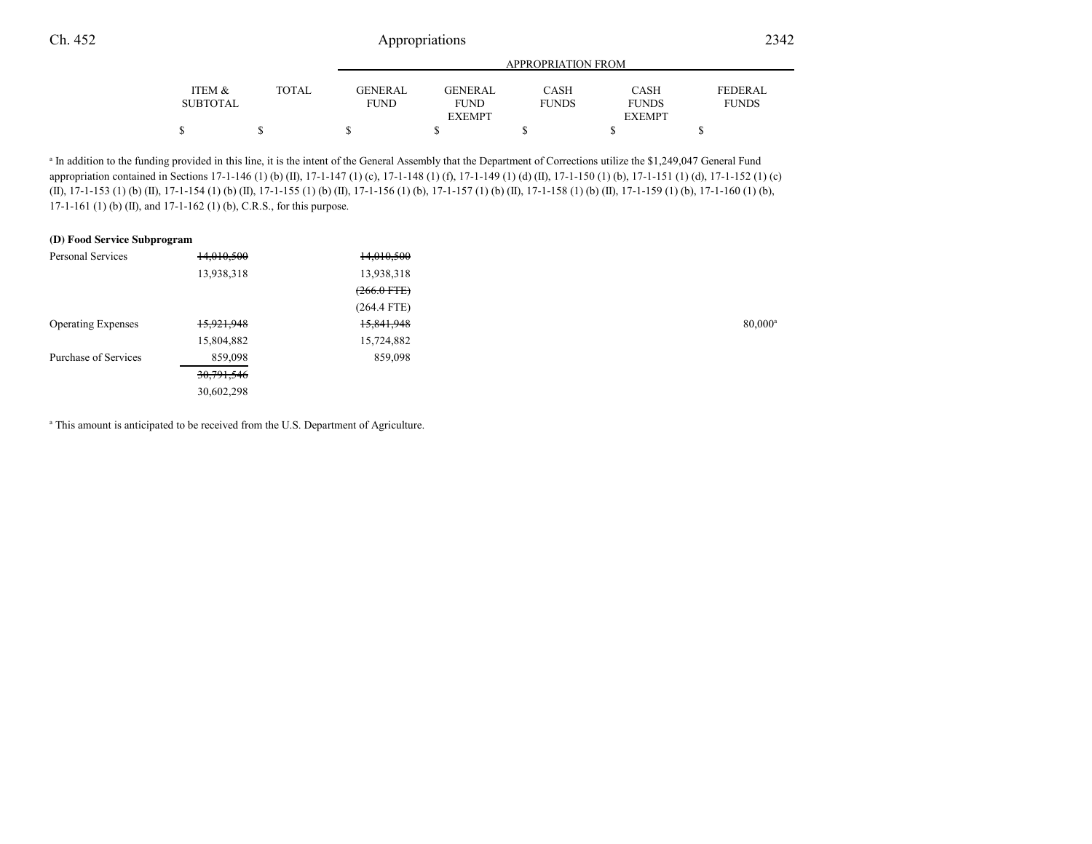|                 |       |             |               | <b>APPROPRIATION FROM</b> |               |                |  |
|-----------------|-------|-------------|---------------|---------------------------|---------------|----------------|--|
| ITEM &          | TOTAL | GENERAL     | GENERAL       | CASH                      | <b>CASH</b>   | <b>FEDERAL</b> |  |
| <b>SUBTOTAL</b> |       | <b>FUND</b> | <b>FUND</b>   | <b>FUNDS</b>              | <b>FUNDS</b>  | <b>FUNDS</b>   |  |
|                 |       |             | <b>EXEMPT</b> |                           | <b>EXEMPT</b> |                |  |
|                 |       |             |               |                           |               |                |  |

<sup>a</sup> In addition to the funding provided in this line, it is the intent of the General Assembly that the Department of Corrections utilize the \$1,249,047 General Fund appropriation contained in Sections 17-1-146 (1) (b) (II), 17-1-147 (1) (c), 17-1-148 (1) (f), 17-1-149 (1) (d) (II), 17-1-150 (1) (b), 17-1-151 (1) (d), 17-1-152 (1) (c)(II), 17-1-153 (1) (b) (II), 17-1-154 (1) (b) (II), 17-1-155 (1) (b) (II), 17-1-156 (1) (b), 17-1-157 (1) (b) (II), 17-1-158 (1) (b) (II), 17-1-159 (1) (b), 17-1-160 (1) (b),17-1-161 (1) (b) (II), and 17-1-162 (1) (b), C.R.S., for this purpose.

#### **(D) Food Service Subprogram**

| Personal Services         | 14,010,500   | 14,010,500       |                  |
|---------------------------|--------------|------------------|------------------|
|                           | 13,938,318   | 13,938,318       |                  |
|                           |              | $(266.0$ FTE $)$ |                  |
|                           |              | $(264.4$ FTE)    |                  |
| <b>Operating Expenses</b> | 15,921,948   | 15,841,948       | $80,000^{\circ}$ |
|                           | 15,804,882   | 15,724,882       |                  |
| Purchase of Services      | 859,098      | 859,098          |                  |
|                           | 30, 791, 546 |                  |                  |
|                           | 30,602,298   |                  |                  |
|                           |              |                  |                  |

<sup>a</sup> This amount is anticipated to be received from the U.S. Department of Agriculture.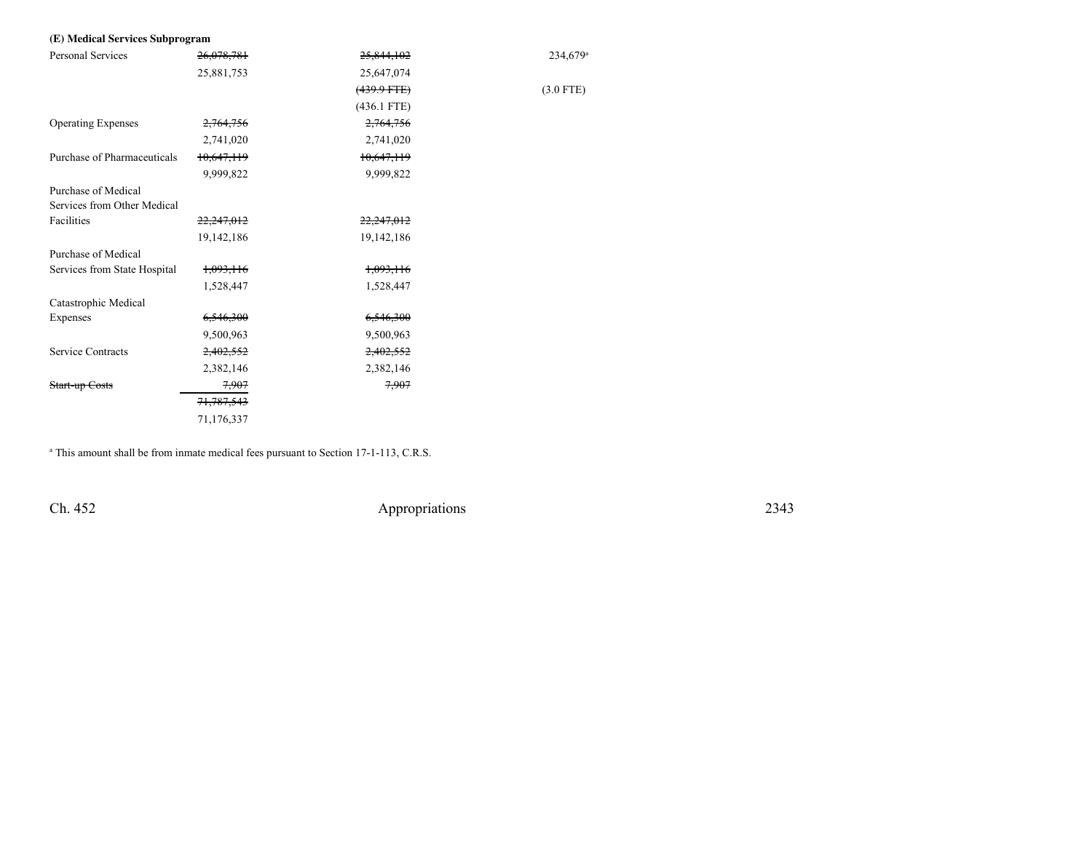## **(E) Medical Services Subprogram**

| <b>Personal Services</b>     | 26,078,781           | 25,844,102            | 234,679 <sup>a</sup> |
|------------------------------|----------------------|-----------------------|----------------------|
|                              | 25,881,753           | 25,647,074            |                      |
|                              |                      | $(439.9 \text{ FFE})$ | $(3.0$ FTE)          |
|                              |                      | $(436.1$ FTE)         |                      |
| <b>Operating Expenses</b>    | 2,764,756            | 2,764,756             |                      |
|                              | 2,741,020            | 2,741,020             |                      |
| Purchase of Pharmaceuticals  | 10,647,119           | 10,647,119            |                      |
|                              | 9,999,822            | 9,999,822             |                      |
| Purchase of Medical          |                      |                       |                      |
| Services from Other Medical  |                      |                       |                      |
| Facilities                   | 22,247,012           | 22,247,012            |                      |
|                              | 19,142,186           | 19,142,186            |                      |
| Purchase of Medical          |                      |                       |                      |
| Services from State Hospital | <del>1,093,116</del> | 1,093,116             |                      |
|                              | 1,528,447            | 1,528,447             |                      |
| Catastrophic Medical         |                      |                       |                      |
| Expenses                     | 6,546,300            | 6,546,300             |                      |
|                              | 9,500,963            | 9,500,963             |                      |
| Service Contracts            | 2,402,552            | 2,402,552             |                      |
|                              | 2,382,146            | 2,382,146             |                      |
| Start-up Costs               | 7,907                | 7,907                 |                      |
|                              | 71,787,543           |                       |                      |
|                              | 71,176,337           |                       |                      |
|                              |                      |                       |                      |

<sup>a</sup> This amount shall be from inmate medical fees pursuant to Section 17-1-113, C.R.S.

Ch. 452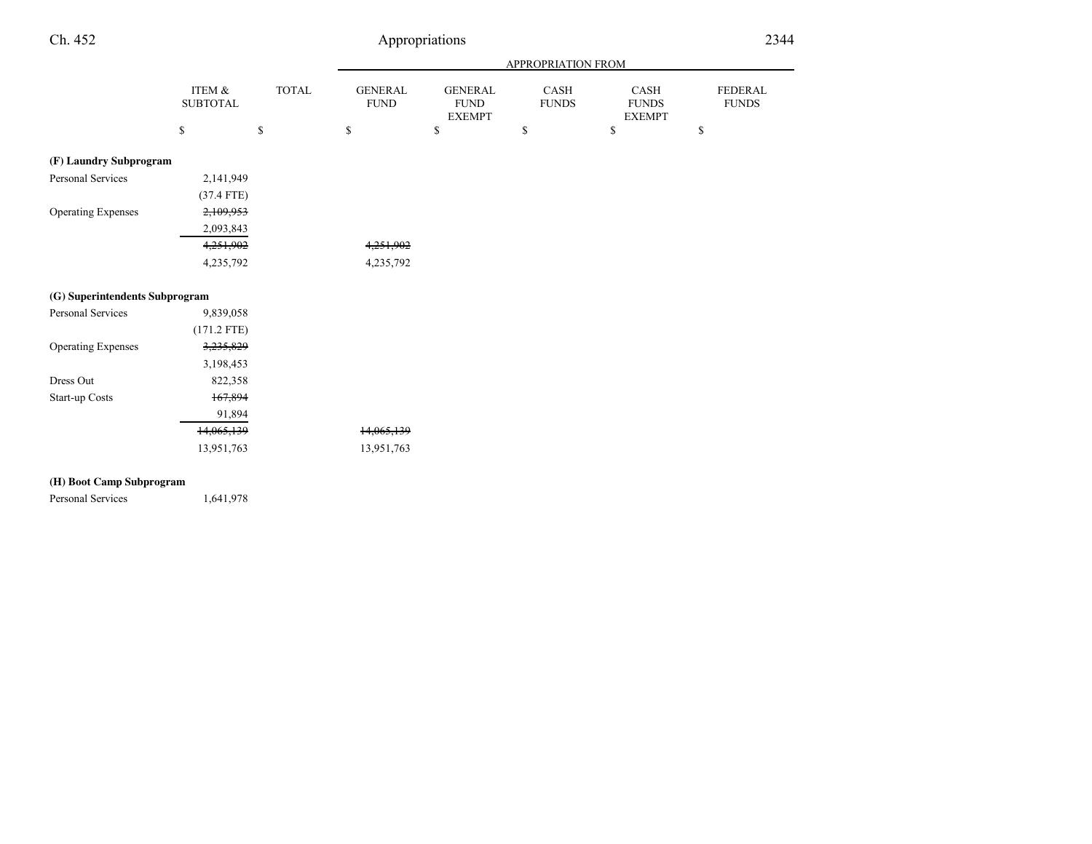#### APPROPRIATION FROMITEM & SUBTOTALTOTAL GENERAL FUNDGENERAL FUND EXEMPTCASH FUNDSCASH FUNDS EXEMPTFEDERAL FUNDS $s$  s  $s$  s s s Ch. 4522344 Appropriations **(F) Laundry Subprogram**Personal Services 2,141,949 (37.4 FTE)2,109,953 Operating Expenses 2,093,8434,251,902 4,251,902 4,235,792 4,235,792 **(G) Superintendents Subprogram**9,839,058 Personal Services  $(171.2 \text{ FTE})$ <br> $3,235,829$ Operating Expenses 3,198,453822,358 Dress Out 822,358<br>Start-up Costs 167,894 Start-up Costs

13,951,763 13,951,763

91,89414,065,139

**(H) Boot Camp Subprogram**

Personal Services 1,641,978

14,065,139<br>13,951,763<br>13,951,763<br>13,951,763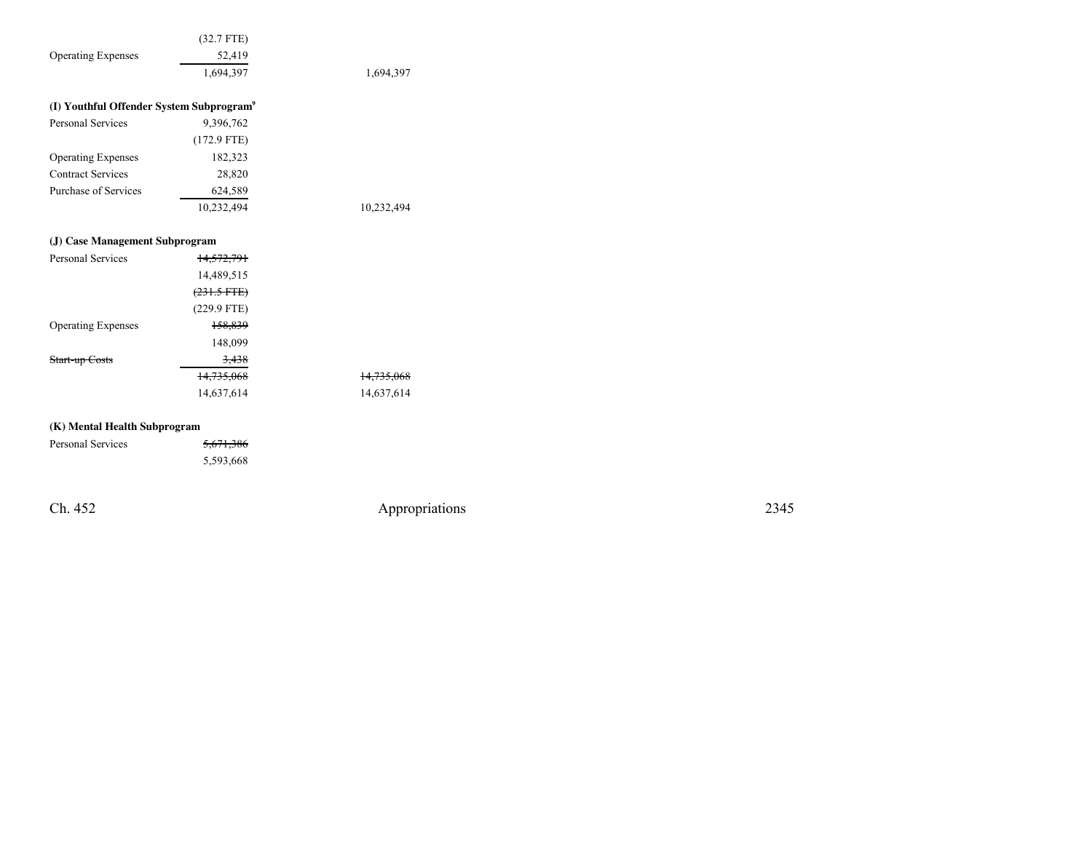|                                                      | $(32.7$ FTE)     |                       |
|------------------------------------------------------|------------------|-----------------------|
| <b>Operating Expenses</b>                            | 52,419           |                       |
|                                                      | 1,694,397        | 1,694,397             |
|                                                      |                  |                       |
| (I) Youthful Offender System Subprogram <sup>9</sup> |                  |                       |
| <b>Personal Services</b>                             | 9,396,762        |                       |
|                                                      | $(172.9$ FTE)    |                       |
| <b>Operating Expenses</b>                            | 182,323          |                       |
| <b>Contract Services</b>                             | 28,820           |                       |
| Purchase of Services                                 | 624,589          |                       |
|                                                      | 10,232,494       | 10,232,494            |
|                                                      |                  |                       |
| (J) Case Management Subprogram                       |                  |                       |
| <b>Personal Services</b>                             | 14,572,791       |                       |
|                                                      | 14,489,515       |                       |
|                                                      | $(231.5$ FTE $)$ |                       |
|                                                      | $(229.9$ FTE)    |                       |
| <b>Operating Expenses</b>                            | 158,839          |                       |
|                                                      | 148,099          |                       |
| Start-up Costs                                       | 3,438            |                       |
|                                                      | 14,735,068       | <del>14,735,068</del> |
|                                                      | 14,637,614       | 14,637,614            |
|                                                      |                  |                       |
| (K) Mental Health Subprogram                         |                  |                       |
| Personal Services                                    | 5671386          |                       |

| Personal Services | 5.671.296<br><del>0,071,000</del> |
|-------------------|-----------------------------------|
|                   | 5,593,668                         |

Ch. 452

Appropriations <sup>2345</sup>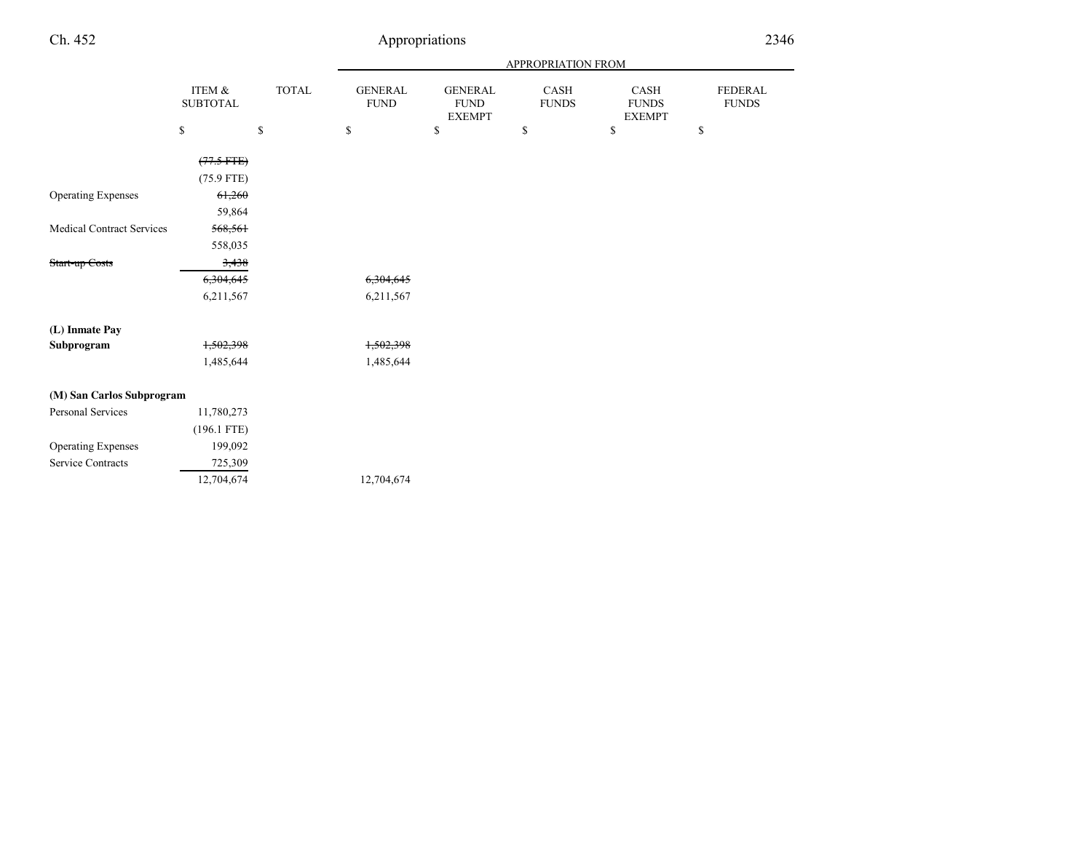| Ch. 452                                               |                           |              | Appropriations                |                                                |                      | 2346                                  |                         |  |
|-------------------------------------------------------|---------------------------|--------------|-------------------------------|------------------------------------------------|----------------------|---------------------------------------|-------------------------|--|
|                                                       |                           |              |                               |                                                | APPROPRIATION FROM   |                                       |                         |  |
|                                                       | ITEM &<br><b>SUBTOTAL</b> | <b>TOTAL</b> | <b>GENERAL</b><br><b>FUND</b> | <b>GENERAL</b><br><b>FUND</b><br><b>EXEMPT</b> | CASH<br><b>FUNDS</b> | CASH<br><b>FUNDS</b><br><b>EXEMPT</b> | FEDERAL<br><b>FUNDS</b> |  |
|                                                       | \$                        | $\mathbb{S}$ | $\mathbb{S}$                  | $\mathbb{S}$                                   | \$                   | \$                                    | \$                      |  |
|                                                       | $(77.5$ FTE)              |              |                               |                                                |                      |                                       |                         |  |
|                                                       | $(75.9$ FTE)              |              |                               |                                                |                      |                                       |                         |  |
| <b>Operating Expenses</b>                             | 61,260                    |              |                               |                                                |                      |                                       |                         |  |
|                                                       | 59,864                    |              |                               |                                                |                      |                                       |                         |  |
| <b>Medical Contract Services</b>                      | 568,561                   |              |                               |                                                |                      |                                       |                         |  |
|                                                       | 558,035                   |              |                               |                                                |                      |                                       |                         |  |
| Start-up Costs                                        | 3,438                     |              |                               |                                                |                      |                                       |                         |  |
|                                                       | 6,304,645                 |              | 6,304,645                     |                                                |                      |                                       |                         |  |
|                                                       | 6,211,567                 |              | 6,211,567                     |                                                |                      |                                       |                         |  |
| (L) Inmate Pay                                        |                           |              |                               |                                                |                      |                                       |                         |  |
| Subprogram                                            | 1,502,398                 |              | 1,502,398                     |                                                |                      |                                       |                         |  |
|                                                       | 1,485,644                 |              | 1,485,644                     |                                                |                      |                                       |                         |  |
| $\alpha$ $\alpha$ $\alpha$ $\alpha$ $\alpha$ $\alpha$ |                           |              |                               |                                                |                      |                                       |                         |  |

| (M) San Carlos Subprogram |               |            |
|---------------------------|---------------|------------|
| Personal Services         | 11,780,273    |            |
|                           | $(196.1$ FTE) |            |
| <b>Operating Expenses</b> | 199,092       |            |
| Service Contracts         | 725,309       |            |
|                           | 12,704,674    | 12,704,674 |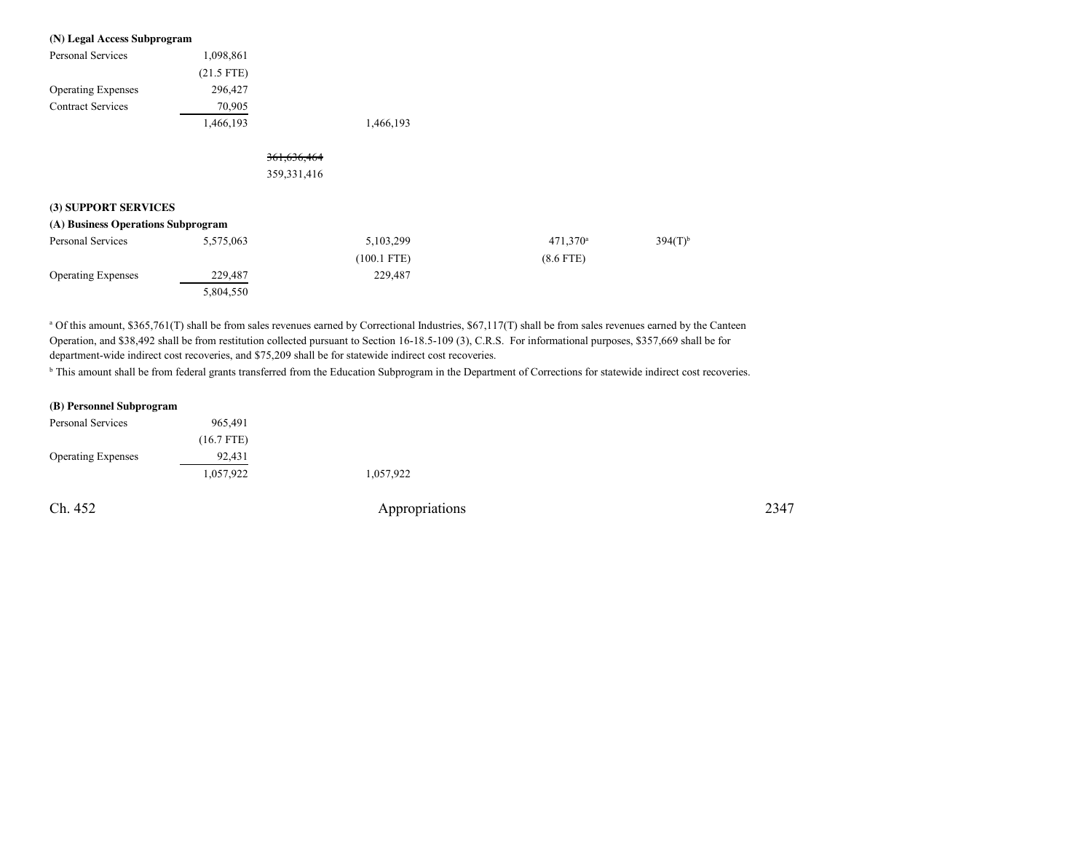| (N) Legal Access Subprogram        |              |               |               |                   |              |
|------------------------------------|--------------|---------------|---------------|-------------------|--------------|
| Personal Services                  | 1,098,861    |               |               |                   |              |
|                                    | $(21.5$ FTE) |               |               |                   |              |
| <b>Operating Expenses</b>          | 296,427      |               |               |                   |              |
| <b>Contract Services</b>           | 70,905       |               |               |                   |              |
|                                    | 1,466,193    |               | 1,466,193     |                   |              |
|                                    |              | 361,636,464   |               |                   |              |
|                                    |              | 359, 331, 416 |               |                   |              |
| (3) SUPPORT SERVICES               |              |               |               |                   |              |
| (A) Business Operations Subprogram |              |               |               |                   |              |
| Personal Services                  | 5,575,063    |               | 5,103,299     | $471,370^{\circ}$ | $394(T)^{6}$ |
|                                    |              |               | $(100.1$ FTE) | $(8.6$ FTE)       |              |
| <b>Operating Expenses</b>          | 229,487      |               | 229,487       |                   |              |
|                                    | 5,804,550    |               |               |                   |              |

<sup>a</sup> Of this amount, \$365,761(T) shall be from sales revenues earned by Correctional Industries, \$67,117(T) shall be from sales revenues earned by the Canteen Operation, and \$38,492 shall be from restitution collected pursuant to Section 16-18.5-109 (3), C.R.S. For informational purposes, \$357,669 shall be fordepartment-wide indirect cost recoveries, and \$75,209 shall be for statewide indirect cost recoveries.

<sup>b</sup> This amount shall be from federal grants transferred from the Education Subprogram in the Department of Corrections for statewide indirect cost recoveries.

#### **(B) Personnel Subprogram**

| Ch. 452                   |              | Appropriations | 2347 |
|---------------------------|--------------|----------------|------|
|                           | 1,057,922    | 1,057,922      |      |
| <b>Operating Expenses</b> | 92,431       |                |      |
|                           | $(16.7$ FTE) |                |      |
| Personal Services         | 965,491      |                |      |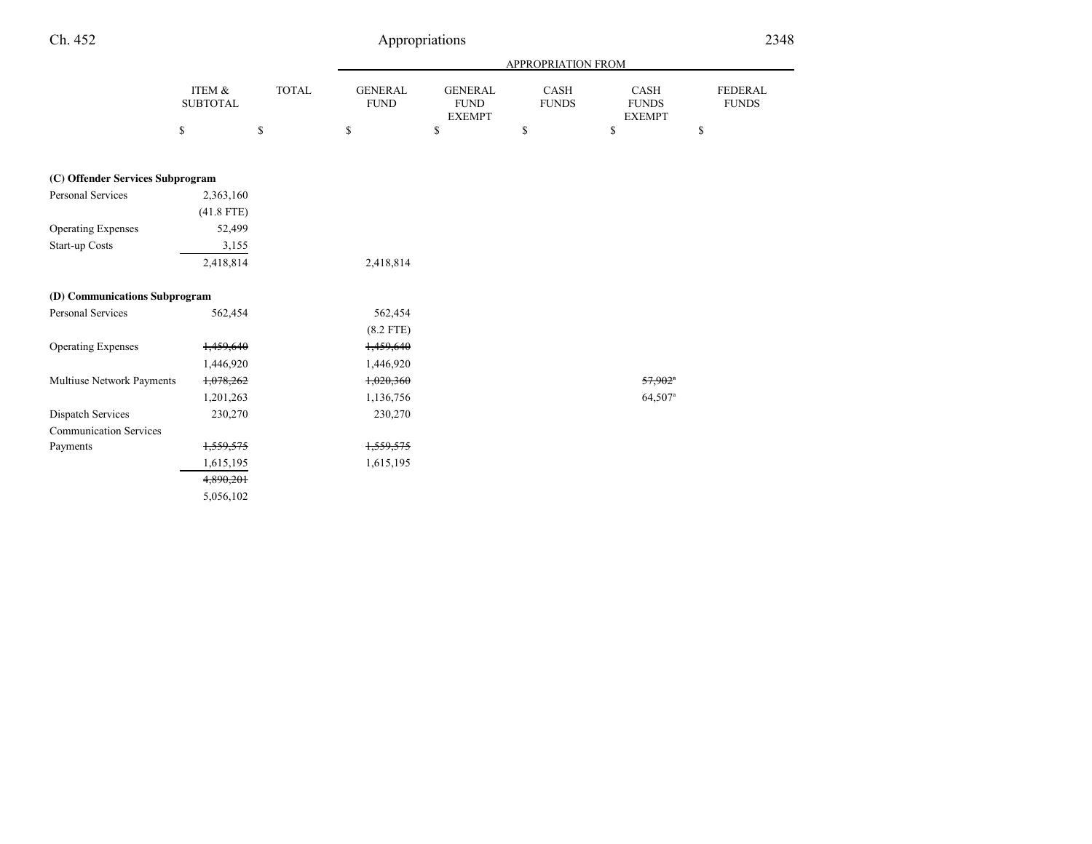| Ch. 452                          | Appropriations            |              |                               |                                                |                           |                                       | 2348                           |  |
|----------------------------------|---------------------------|--------------|-------------------------------|------------------------------------------------|---------------------------|---------------------------------------|--------------------------------|--|
|                                  |                           |              |                               |                                                | <b>APPROPRIATION FROM</b> |                                       |                                |  |
|                                  | ITEM &<br><b>SUBTOTAL</b> | <b>TOTAL</b> | <b>GENERAL</b><br><b>FUND</b> | <b>GENERAL</b><br><b>FUND</b><br><b>EXEMPT</b> | CASH<br><b>FUNDS</b>      | CASH<br><b>FUNDS</b><br><b>EXEMPT</b> | <b>FEDERAL</b><br><b>FUNDS</b> |  |
|                                  | \$                        | \$           | $\mathbb{S}$                  | $\mathbb{S}$                                   | $\mathbb{S}$              | \$                                    | \$                             |  |
| (C) Offender Services Subprogram |                           |              |                               |                                                |                           |                                       |                                |  |
| Personal Services                | 2,363,160                 |              |                               |                                                |                           |                                       |                                |  |
|                                  | $(41.8$ FTE)              |              |                               |                                                |                           |                                       |                                |  |
| <b>Operating Expenses</b>        | 52,499                    |              |                               |                                                |                           |                                       |                                |  |
| Start-up Costs                   | 3,155                     |              |                               |                                                |                           |                                       |                                |  |
|                                  | 2,418,814                 |              | 2,418,814                     |                                                |                           |                                       |                                |  |
| (D) Communications Subprogram    |                           |              |                               |                                                |                           |                                       |                                |  |
| Personal Services                | 562,454                   |              | 562,454                       |                                                |                           |                                       |                                |  |
|                                  |                           |              | $(8.2$ FTE)                   |                                                |                           |                                       |                                |  |
| <b>Operating Expenses</b>        | 1,459,640                 |              | 1,459,640                     |                                                |                           |                                       |                                |  |
|                                  | 1,446,920                 |              | 1,446,920                     |                                                |                           |                                       |                                |  |
| Multiuse Network Payments        | 1,078,262                 |              | 1,020,360                     |                                                |                           | $57,902$ <sup>a</sup>                 |                                |  |
|                                  | 1,201,263                 |              | 1,136,756                     |                                                |                           | $64,507$ <sup>a</sup>                 |                                |  |
| Dispatch Services                | 230,270                   |              | 230,270                       |                                                |                           |                                       |                                |  |
| <b>Communication Services</b>    |                           |              |                               |                                                |                           |                                       |                                |  |
| Payments                         | 1,559,575                 |              | 1,559,575                     |                                                |                           |                                       |                                |  |
|                                  | 1,615,195                 |              | 1,615,195                     |                                                |                           |                                       |                                |  |
|                                  | 4,890,201                 |              |                               |                                                |                           |                                       |                                |  |
|                                  | 5,056,102                 |              |                               |                                                |                           |                                       |                                |  |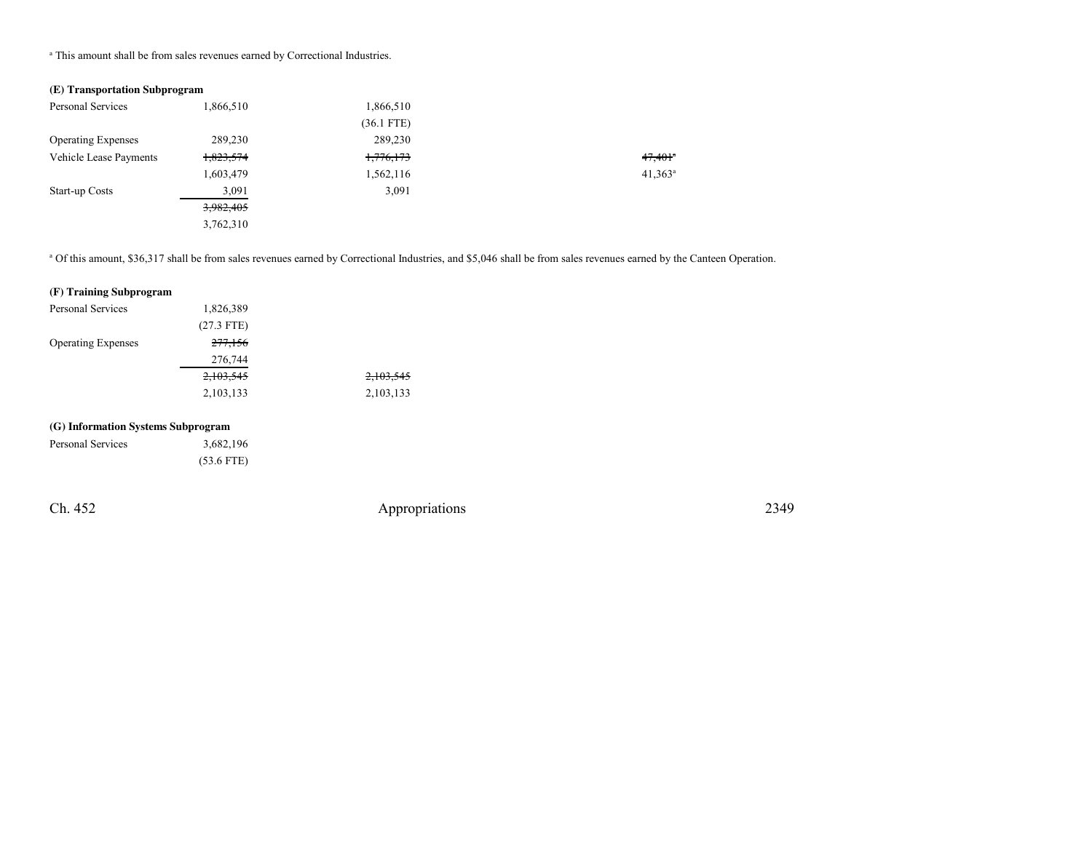<sup>a</sup> This amount shall be from sales revenues earned by Correctional Industries.

## **(E) Transportation Subprogram**

| Personal Services         | 1,866,510 | 1,866,510    |                       |
|---------------------------|-----------|--------------|-----------------------|
|                           |           | $(36.1$ FTE) |                       |
| <b>Operating Expenses</b> | 289,230   | 289,230      |                       |
| Vehicle Lease Payments    | 1,823,574 | 1,776,173    | $47,401$ <sup>a</sup> |
|                           | 1,603,479 | 1,562,116    | $41,363^a$            |
| Start-up Costs            | 3,091     | 3,091        |                       |
|                           | 3,982,405 |              |                       |
|                           | 3,762,310 |              |                       |

a Of this amount, \$36,317 shall be from sales revenues earned by Correctional Industries, and \$5,046 shall be from sales revenues earned by the Canteen Operation.

### **(F) Training Subprogram**

| Personal Services         | 1,826,389          |           |
|---------------------------|--------------------|-----------|
|                           | $(27.3$ FTE)       |           |
| <b>Operating Expenses</b> | <del>277,156</del> |           |
|                           | 276,744            |           |
|                           | 2,103,545          | 2,103,545 |
|                           | 2,103,133          | 2,103,133 |

## **(G) Information Systems Subprogram**

| Personal Services | 3,682,196    |
|-------------------|--------------|
|                   | $(53.6$ FTE) |

Ch. 452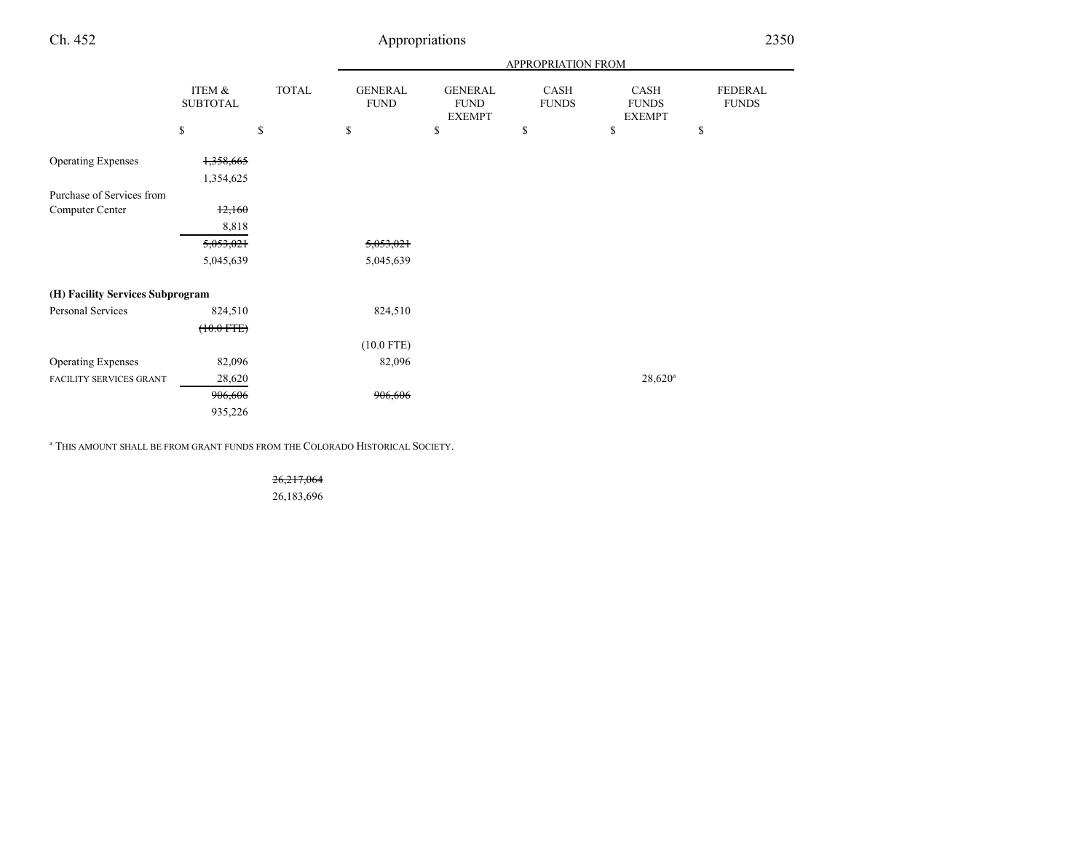| Ch. 452                          | Appropriations            |              |                                             |                                                |                      | 2350                                  |                                |
|----------------------------------|---------------------------|--------------|---------------------------------------------|------------------------------------------------|----------------------|---------------------------------------|--------------------------------|
|                                  |                           |              |                                             |                                                | APPROPRIATION FROM   |                                       |                                |
|                                  | ITEM &<br><b>SUBTOTAL</b> | <b>TOTAL</b> | <b>GENERAL</b><br><b>FUND</b>               | <b>GENERAL</b><br><b>FUND</b><br><b>EXEMPT</b> | CASH<br><b>FUNDS</b> | CASH<br><b>FUNDS</b><br><b>EXEMPT</b> | <b>FEDERAL</b><br><b>FUNDS</b> |
|                                  | \$                        | $\mathbb{S}$ | $\mathbb{S}% _{n}^{X\rightarrow\mathbb{R}}$ | \$                                             | \$                   | \$                                    | \$                             |
| <b>Operating Expenses</b>        | 1,358,665                 |              |                                             |                                                |                      |                                       |                                |
|                                  | 1,354,625                 |              |                                             |                                                |                      |                                       |                                |
| Purchase of Services from        |                           |              |                                             |                                                |                      |                                       |                                |
| Computer Center                  | 12,160                    |              |                                             |                                                |                      |                                       |                                |
|                                  | 8,818                     |              |                                             |                                                |                      |                                       |                                |
|                                  | 5,053,021                 |              | 5,053,021                                   |                                                |                      |                                       |                                |
|                                  | 5,045,639                 |              | 5,045,639                                   |                                                |                      |                                       |                                |
| (H) Facility Services Subprogram |                           |              |                                             |                                                |                      |                                       |                                |
| Personal Services                | 824,510                   |              | 824,510                                     |                                                |                      |                                       |                                |
|                                  | $(10.0$ FTE $)$           |              |                                             |                                                |                      |                                       |                                |
|                                  |                           |              | $(10.0$ FTE)                                |                                                |                      |                                       |                                |
| <b>Operating Expenses</b>        | 82,096                    |              | 82,096                                      |                                                |                      |                                       |                                |
| <b>FACILITY SERVICES GRANT</b>   | 28,620                    |              |                                             |                                                |                      | $28,620$ <sup>a</sup>                 |                                |
|                                  | 906,606                   |              | 906,606                                     |                                                |                      |                                       |                                |
|                                  | 935,226                   |              |                                             |                                                |                      |                                       |                                |
|                                  |                           |              |                                             |                                                |                      |                                       |                                |

<sup>a</sup> THIS AMOUNT SHALL BE FROM GRANT FUNDS FROM THE COLORADO HISTORICAL SOCIETY.

26,217,06426,183,696

Ch. 452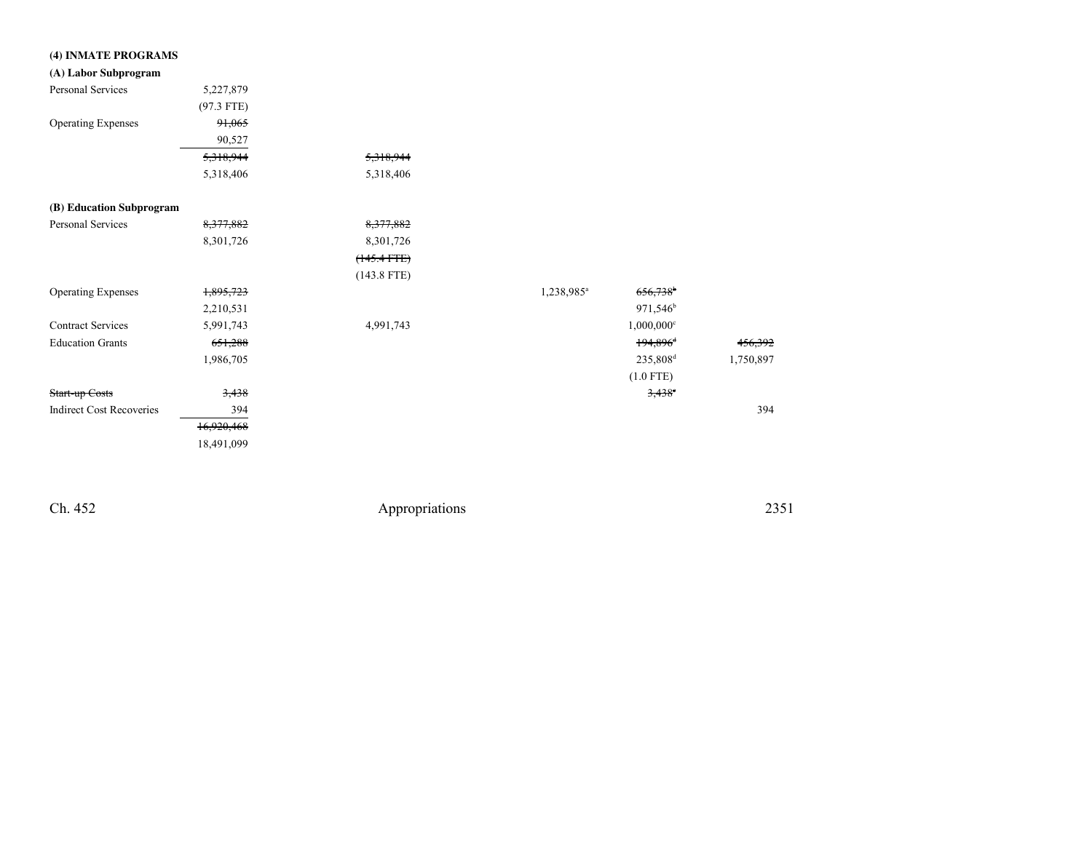| (4) INMATE PROGRAMS             |                    |                  |                        |                          |                    |
|---------------------------------|--------------------|------------------|------------------------|--------------------------|--------------------|
| (A) Labor Subprogram            |                    |                  |                        |                          |                    |
| Personal Services               | 5,227,879          |                  |                        |                          |                    |
|                                 | $(97.3$ FTE)       |                  |                        |                          |                    |
| <b>Operating Expenses</b>       | 91,065             |                  |                        |                          |                    |
|                                 | 90,527             |                  |                        |                          |                    |
|                                 | 5,318,944          | 5,318,944        |                        |                          |                    |
|                                 | 5,318,406          | 5,318,406        |                        |                          |                    |
| (B) Education Subprogram        |                    |                  |                        |                          |                    |
| Personal Services               | 8,377,882          | 8,377,882        |                        |                          |                    |
|                                 | 8,301,726          | 8,301,726        |                        |                          |                    |
|                                 |                    | $(145.4$ FTE $)$ |                        |                          |                    |
|                                 |                    | $(143.8$ FTE)    |                        |                          |                    |
| <b>Operating Expenses</b>       | 1,895,723          |                  | 1,238,985 <sup>a</sup> | $656,738$ <sup>b</sup>   |                    |
|                                 | 2,210,531          |                  |                        | 971,546 <sup>b</sup>     |                    |
| <b>Contract Services</b>        | 5,991,743          | 4,991,743        |                        | $1,000,000$ <sup>c</sup> |                    |
| <b>Education Grants</b>         | <del>651,288</del> |                  |                        | $194,896$ <sup>d</sup>   | <del>456,392</del> |
|                                 | 1,986,705          |                  |                        | 235,808 <sup>d</sup>     | 1,750,897          |
|                                 |                    |                  |                        | $(1.0$ FTE)              |                    |
| Start-up Costs                  | 3,438              |                  |                        | $3,438$ <sup>e</sup>     |                    |
| <b>Indirect Cost Recoveries</b> | 394                |                  |                        |                          | 394                |
|                                 | 16,920,468         |                  |                        |                          |                    |
|                                 | 18,491,099         |                  |                        |                          |                    |

Ch. 452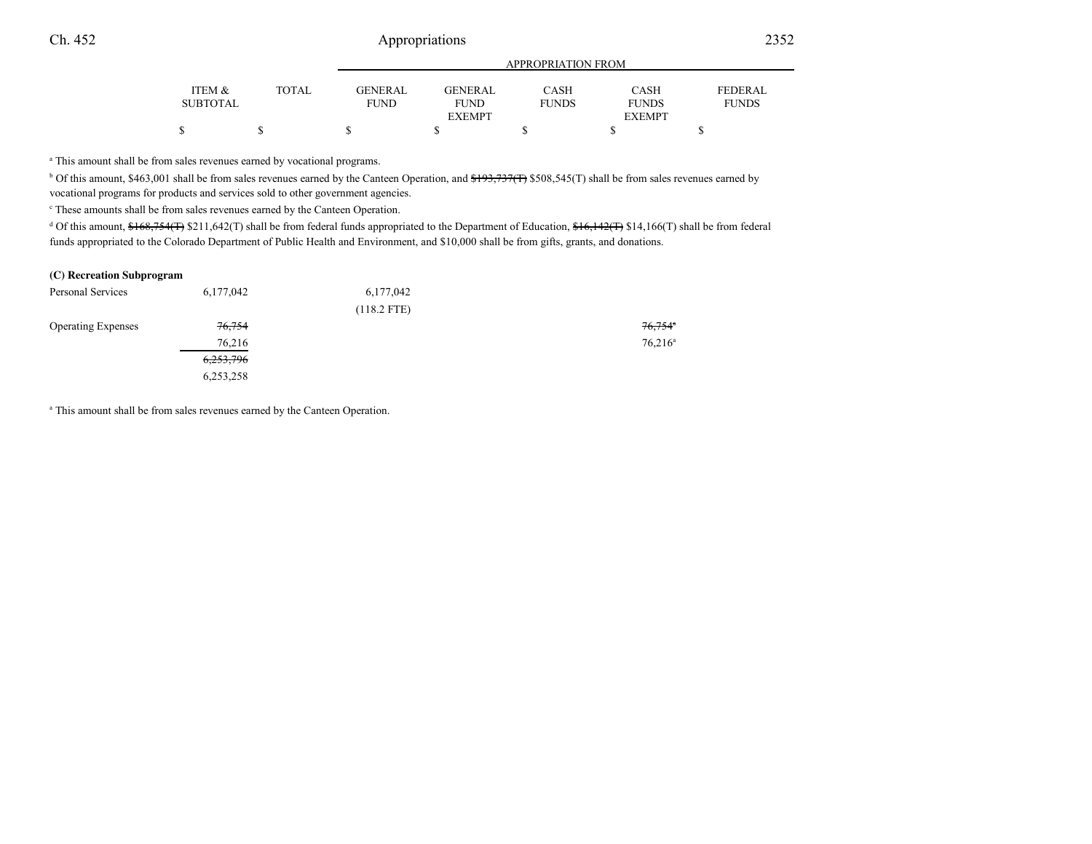# 2

|                 |       |                |               | APPROPRIATION FROM |               |                |  |
|-----------------|-------|----------------|---------------|--------------------|---------------|----------------|--|
| ITEM &          | TOTAL | <b>GENERAL</b> | GENERAL       | CASH               | <b>CASH</b>   | <b>FEDERAL</b> |  |
| <b>SUBTOTAL</b> |       | <b>FUND</b>    | <b>FUND</b>   | <b>FUNDS</b>       | <b>FUNDS</b>  | <b>FUNDS</b>   |  |
|                 |       |                | <b>EXEMPT</b> |                    | <b>EXEMPT</b> |                |  |
|                 |       |                |               |                    |               |                |  |

<sup>a</sup> This amount shall be from sales revenues earned by vocational programs.

<sup>b</sup> Of this amount, \$463,001 shall be from sales revenues earned by the Canteen Operation, and \$193,737(T) \$508,545(T) shall be from sales revenues earned by vocational programs for products and services sold to other government agencies.

c These amounts shall be from sales revenues earned by the Canteen Operation.

<sup>d</sup> Of this amount,  $\frac{$+68,754}{$\sqrt{13}}$  \$211,642(T) shall be from federal funds appropriated to the Department of Education,  $\frac{$+6,142}{$\sqrt{142}$}$  \$14,166(T) shall be from federal funds appropriated to the Colorado Department of Public Health and Environment, and \$10,000 shall be from gifts, grants, and donations.

#### **(C) Recreation Subprogram**

| Personal Services         | 6,177,042            | 6,177,042     |                       |
|---------------------------|----------------------|---------------|-----------------------|
|                           |                      | $(118.2$ FTE) |                       |
| <b>Operating Expenses</b> | 76,754               |               | $76,754$ <sup>n</sup> |
|                           | 76,216               |               | $76,216^a$            |
|                           | <del>6,253,796</del> |               |                       |
|                           | 6,253,258            |               |                       |

a This amount shall be from sales revenues earned by the Canteen Operation.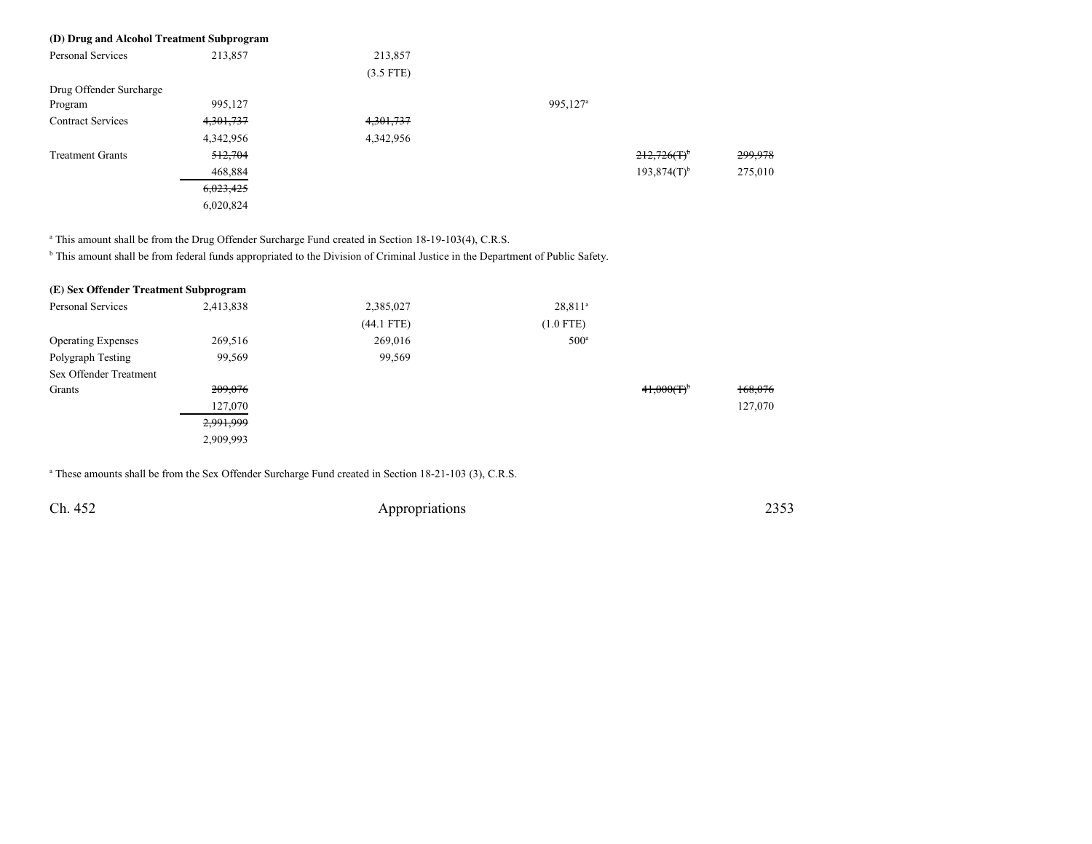| (D) Drug and Alcohol Treatment Subprogram |           |             |                      |                  |         |
|-------------------------------------------|-----------|-------------|----------------------|------------------|---------|
| Personal Services                         | 213,857   | 213,857     |                      |                  |         |
|                                           |           | $(3.5$ FTE) |                      |                  |         |
| Drug Offender Surcharge                   |           |             |                      |                  |         |
| Program                                   | 995,127   |             | 995,127 <sup>a</sup> |                  |         |
| <b>Contract Services</b>                  | 4,301,737 | 4,301,737   |                      |                  |         |
|                                           | 4,342,956 | 4,342,956   |                      |                  |         |
| <b>Treatment Grants</b>                   | 512,704   |             |                      | $212,726(f)^6$   | 299,978 |
|                                           | 468,884   |             |                      | $193.874(T)^{b}$ | 275,010 |
|                                           | 6,023,425 |             |                      |                  |         |
|                                           | 6,020,824 |             |                      |                  |         |

<sup>a</sup> This amount shall be from the Drug Offender Surcharge Fund created in Section 18-19-103(4), C.R.S.

<sup>b</sup> This amount shall be from federal funds appropriated to the Division of Criminal Justice in the Department of Public Safety.

| (E) Sex Offender Treatment Subprogram |           |              |                  |           |         |
|---------------------------------------|-----------|--------------|------------------|-----------|---------|
| Personal Services                     | 2,413,838 | 2,385,027    | $28,811^a$       |           |         |
|                                       |           | $(44.1$ FTE) | $(1.0$ FTE)      |           |         |
| <b>Operating Expenses</b>             | 269,516   | 269,016      | 500 <sup>a</sup> |           |         |
| Polygraph Testing                     | 99,569    | 99,569       |                  |           |         |
| Sex Offender Treatment                |           |              |                  |           |         |
| Grants                                | 209,076   |              |                  | 41,000(T) | 168,076 |
|                                       | 127,070   |              |                  |           | 127,070 |
|                                       | 2,991,999 |              |                  |           |         |
|                                       | 2,909,993 |              |                  |           |         |

<sup>a</sup> These amounts shall be from the Sex Offender Surcharge Fund created in Section 18-21-103 (3), C.R.S.

Ch. 452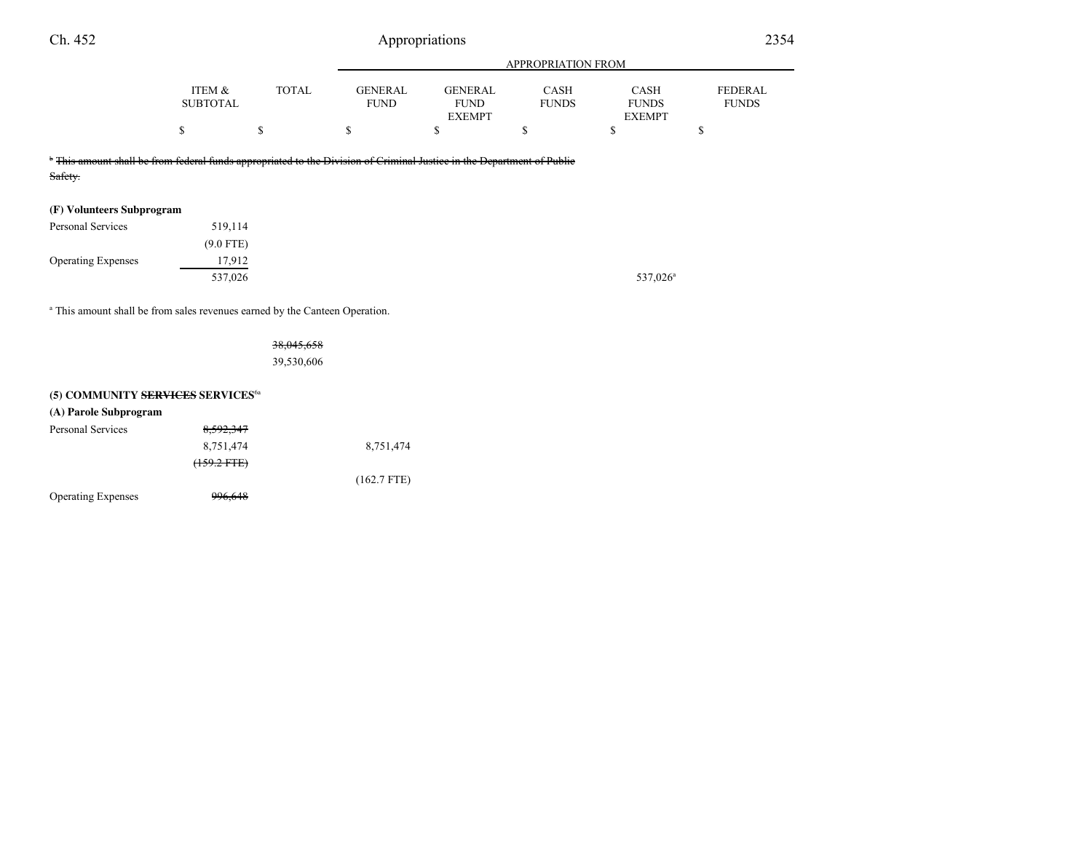| Ch. 452                   |                                                                                                                                   |              |                               | Appropriations                                 |                             |                                              | 2354                           |
|---------------------------|-----------------------------------------------------------------------------------------------------------------------------------|--------------|-------------------------------|------------------------------------------------|-----------------------------|----------------------------------------------|--------------------------------|
|                           |                                                                                                                                   |              |                               |                                                | <b>APPROPRIATION FROM</b>   |                                              |                                |
|                           | ITEM &<br><b>SUBTOTAL</b>                                                                                                         | <b>TOTAL</b> | <b>GENERAL</b><br><b>FUND</b> | <b>GENERAL</b><br><b>FUND</b><br><b>EXEMPT</b> | <b>CASH</b><br><b>FUNDS</b> | <b>CASH</b><br><b>FUNDS</b><br><b>EXEMPT</b> | <b>FEDERAL</b><br><b>FUNDS</b> |
|                           |                                                                                                                                   | \$           | ъ.                            |                                                | S                           | S                                            |                                |
| Safety.                   | <sup>*</sup> This amount shall be from federal funds appropriated to the Division of Criminal Justice in the Department of Public |              |                               |                                                |                             |                                              |                                |
| (F) Volunteers Subprogram |                                                                                                                                   |              |                               |                                                |                             |                                              |                                |

| Personal Services         | 519,114     |  |
|---------------------------|-------------|--|
|                           | $(9.0$ FTE) |  |
| <b>Operating Expenses</b> | 17,912      |  |
|                           | 537,026     |  |

a This amount shall be from sales revenues earned by the Canteen Operation.

| <del>38,045,658</del> |  |
|-----------------------|--|
| 39,530,606            |  |

#### **(5) COMMUNITY SERVICES SERVICES**6a

| (A) Parole Subprogram     |                        |               |
|---------------------------|------------------------|---------------|
| Personal Services         | 8,592,347              |               |
|                           | 8,751,474              | 8,751,474     |
|                           | <del>(159.2 FTE)</del> |               |
|                           |                        | $(162.7$ FTE) |
| <b>Operating Expenses</b> | <del>996,648</del>     |               |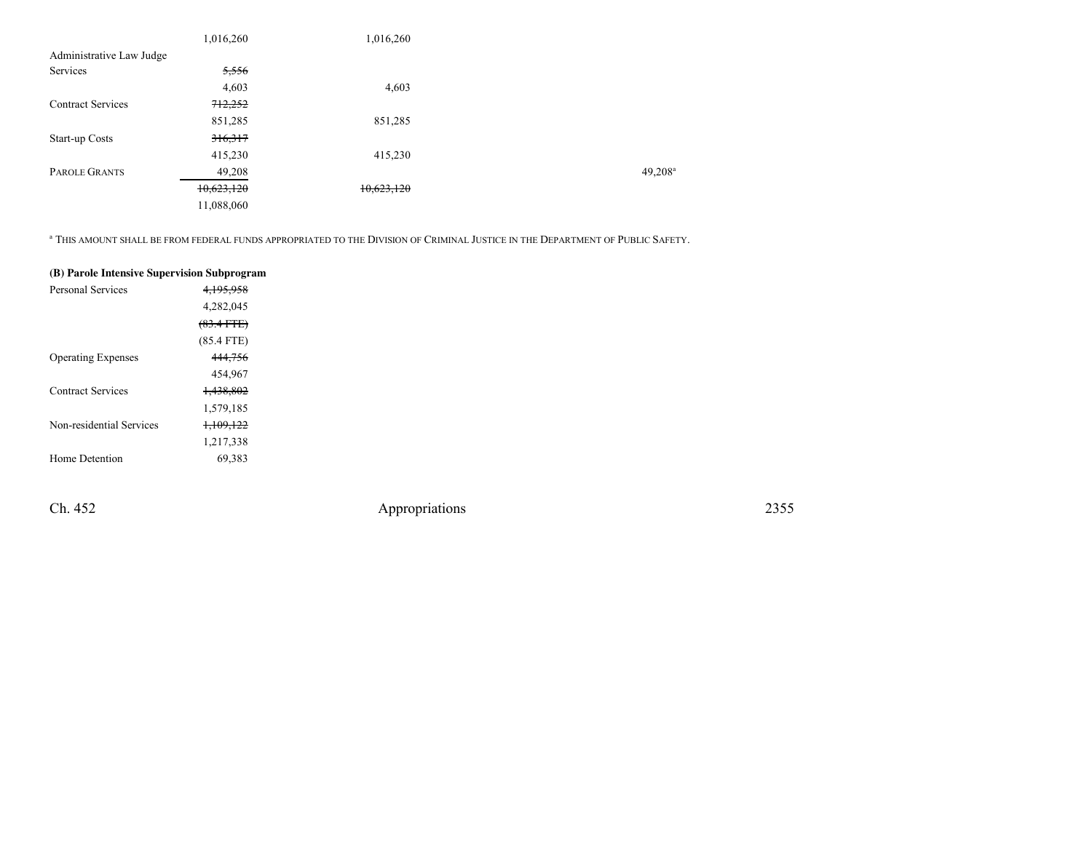|                          | 1,016,260  | 1,016,260  |                     |
|--------------------------|------------|------------|---------------------|
| Administrative Law Judge |            |            |                     |
| Services                 | 5,556      |            |                     |
|                          | 4,603      | 4,603      |                     |
| <b>Contract Services</b> | 712,252    |            |                     |
|                          | 851,285    | 851,285    |                     |
| Start-up Costs           | 316,317    |            |                     |
|                          | 415,230    | 415,230    |                     |
| PAROLE GRANTS            | 49,208     |            | 49,208 <sup>a</sup> |
|                          | 10,623,120 | 10,623,120 |                     |
|                          | 11,088,060 |            |                     |

<sup>a</sup> THIS AMOUNT SHALL BE FROM FEDERAL FUNDS APPROPRIATED TO THE DIVISION OF CRIMINAL JUSTICE IN THE DEPARTMENT OF PUBLIC SAFETY.

| (B) Parole Intensive Supervision Subprogram |                      |
|---------------------------------------------|----------------------|
| Personal Services                           | 4,195,958            |
|                                             | 4,282,045            |
|                                             | $(83.4$ FTE)         |
|                                             | $(85.4$ FTE)         |
| <b>Operating Expenses</b>                   | 444,756              |
|                                             | 454,967              |
| <b>Contract Services</b>                    | <del>1,438,802</del> |
|                                             | 1,579,185            |
| Non-residential Services                    | <del>1,109,122</del> |
|                                             | 1,217,338            |
| Home Detention                              | 69,383               |
|                                             |                      |

Ch. 452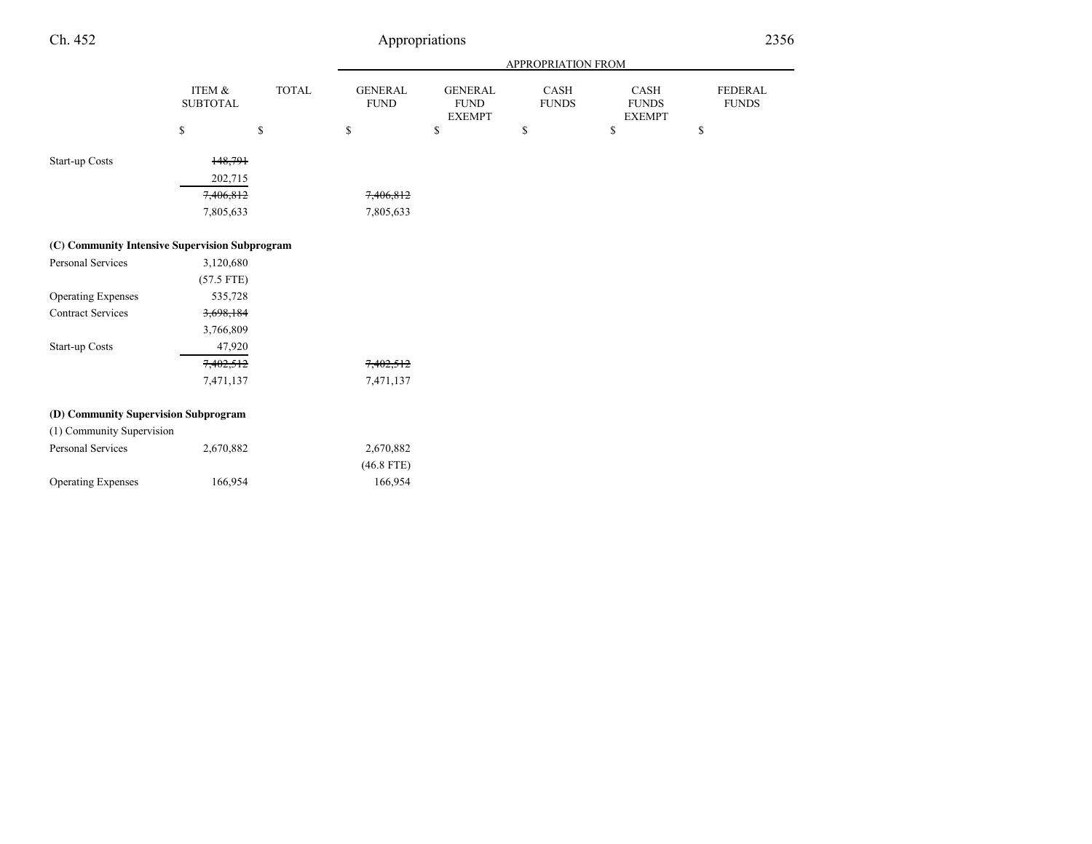| Ch. 452                                        |                           |              |                               | Appropriations                                  |                             |                                       |                         | 2356 |
|------------------------------------------------|---------------------------|--------------|-------------------------------|-------------------------------------------------|-----------------------------|---------------------------------------|-------------------------|------|
|                                                |                           |              |                               |                                                 | APPROPRIATION FROM          |                                       |                         |      |
|                                                | ITEM &<br><b>SUBTOTAL</b> | <b>TOTAL</b> | <b>GENERAL</b><br><b>FUND</b> | <b>GENERAL</b><br>${\rm FUND}$<br><b>EXEMPT</b> | <b>CASH</b><br><b>FUNDS</b> | CASH<br><b>FUNDS</b><br><b>EXEMPT</b> | FEDERAL<br><b>FUNDS</b> |      |
|                                                | $\mathbb S$               | $\mathbb S$  | $\mathbb{S}$                  | \$                                              | $\mathbb{S}$                | \$                                    | \$                      |      |
| Start-up Costs                                 | 148,791                   |              |                               |                                                 |                             |                                       |                         |      |
|                                                | 202,715                   |              |                               |                                                 |                             |                                       |                         |      |
|                                                | 7,406,812                 |              | 7,406,812                     |                                                 |                             |                                       |                         |      |
|                                                | 7,805,633                 |              | 7,805,633                     |                                                 |                             |                                       |                         |      |
| (C) Community Intensive Supervision Subprogram |                           |              |                               |                                                 |                             |                                       |                         |      |
| Personal Services                              | 3,120,680                 |              |                               |                                                 |                             |                                       |                         |      |
|                                                | $(57.5$ FTE)              |              |                               |                                                 |                             |                                       |                         |      |
| <b>Operating Expenses</b>                      | 535,728                   |              |                               |                                                 |                             |                                       |                         |      |
| <b>Contract Services</b>                       | 3,698,184                 |              |                               |                                                 |                             |                                       |                         |      |
|                                                | 3,766,809                 |              |                               |                                                 |                             |                                       |                         |      |
| Start-up Costs                                 | 47,920                    |              |                               |                                                 |                             |                                       |                         |      |
|                                                | 7,402,512                 |              | 7,402,512                     |                                                 |                             |                                       |                         |      |
|                                                | 7,471,137                 |              | 7,471,137                     |                                                 |                             |                                       |                         |      |
| (D) Community Supervision Subprogram           |                           |              |                               |                                                 |                             |                                       |                         |      |
| (1) Community Supervision                      |                           |              |                               |                                                 |                             |                                       |                         |      |
| Personal Services                              | 2,670,882                 |              | 2,670,882                     |                                                 |                             |                                       |                         |      |
|                                                |                           |              | $(46.8$ FTE)                  |                                                 |                             |                                       |                         |      |
| <b>Operating Expenses</b>                      | 166,954                   |              | 166,954                       |                                                 |                             |                                       |                         |      |
|                                                |                           |              |                               |                                                 |                             |                                       |                         |      |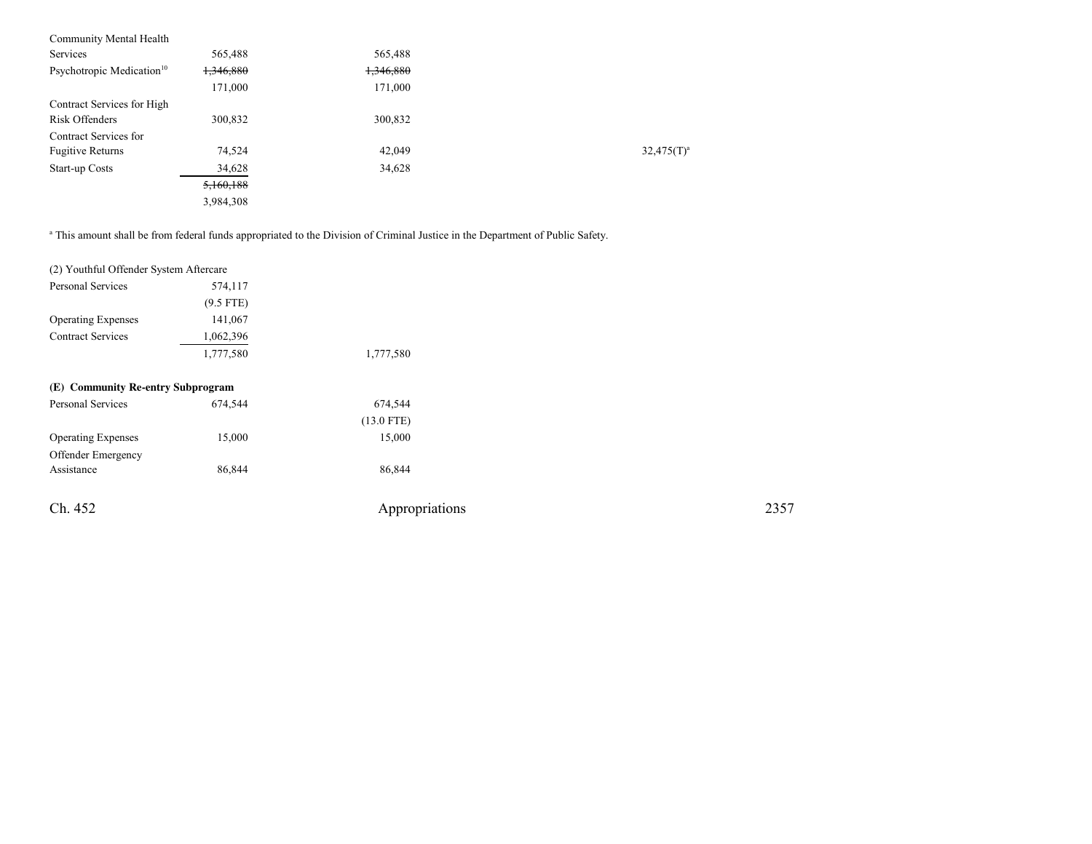| 565,488              | 565,488   |               |
|----------------------|-----------|---------------|
| <del>1,346,880</del> | 1,346,880 |               |
| 171,000              | 171,000   |               |
|                      |           |               |
| 300,832              | 300,832   |               |
|                      |           |               |
| 74,524               | 42,049    | $32,475(T)^a$ |
| 34,628               | 34,628    |               |
| 5,160,188            |           |               |
| 3,984,308            |           |               |
|                      |           |               |

<sup>a</sup> This amount shall be from federal funds appropriated to the Division of Criminal Justice in the Department of Public Safety.

| (2) Youthful Offender System Aftercare |             |                |      |
|----------------------------------------|-------------|----------------|------|
| Personal Services                      | 574,117     |                |      |
|                                        | $(9.5$ FTE) |                |      |
| <b>Operating Expenses</b>              | 141,067     |                |      |
| <b>Contract Services</b>               | 1,062,396   |                |      |
|                                        | 1,777,580   | 1,777,580      |      |
| (E) Community Re-entry Subprogram      |             |                |      |
| Personal Services                      | 674,544     | 674,544        |      |
|                                        |             | $(13.0$ FTE)   |      |
| <b>Operating Expenses</b>              | 15,000      | 15,000         |      |
| Offender Emergency                     |             |                |      |
| Assistance                             | 86,844      | 86,844         |      |
| Ch. 452                                |             | Appropriations | 2357 |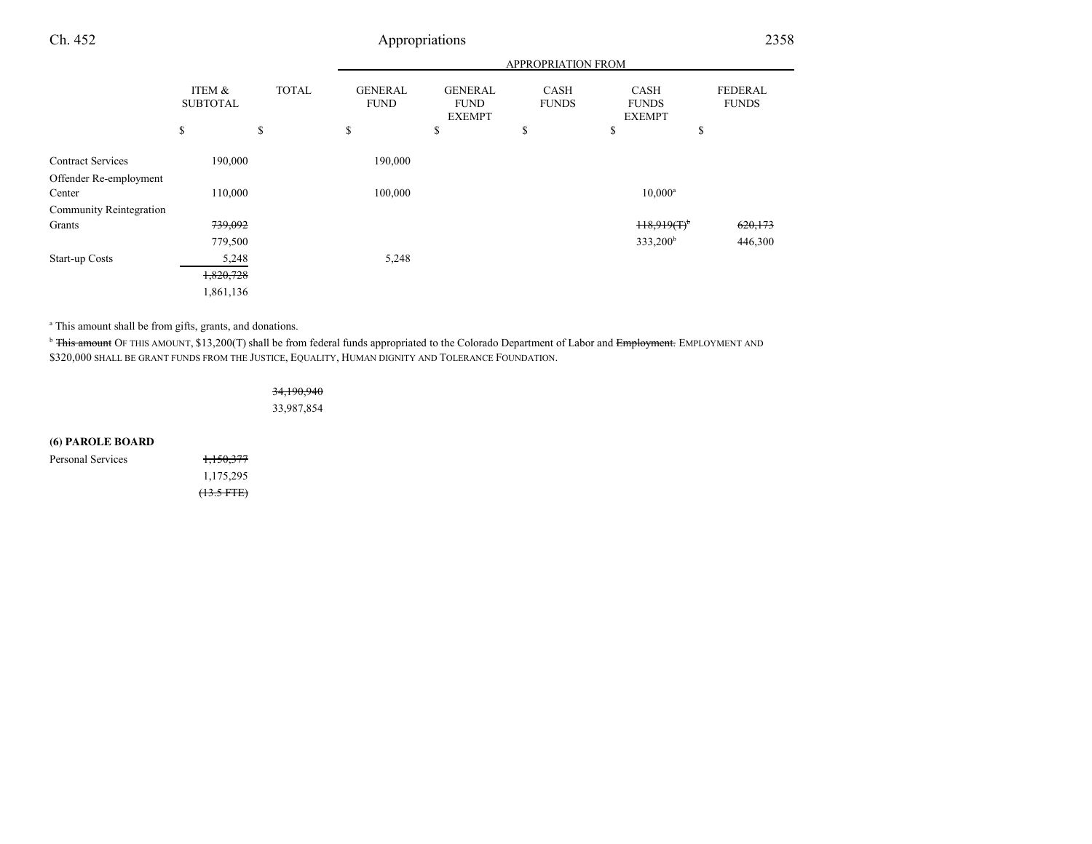# Appropriations <sup>2358</sup>

|                                                    |                                      |              |                               |                                                | APPROPRIATION FROM          |                                              |                                |
|----------------------------------------------------|--------------------------------------|--------------|-------------------------------|------------------------------------------------|-----------------------------|----------------------------------------------|--------------------------------|
|                                                    | <b>ITEM &amp;</b><br><b>SUBTOTAL</b> | <b>TOTAL</b> | <b>GENERAL</b><br><b>FUND</b> | <b>GENERAL</b><br><b>FUND</b><br><b>EXEMPT</b> | <b>CASH</b><br><b>FUNDS</b> | <b>CASH</b><br><b>FUNDS</b><br><b>EXEMPT</b> | <b>FEDERAL</b><br><b>FUNDS</b> |
|                                                    | \$                                   | \$           | \$                            | \$                                             | \$                          | \$                                           | \$                             |
| <b>Contract Services</b><br>Offender Re-employment | 190,000                              |              | 190,000                       |                                                |                             |                                              |                                |
| Center                                             | 110,000                              |              | 100,000                       |                                                |                             | $10,000^a$                                   |                                |
| Community Reintegration                            |                                      |              |                               |                                                |                             |                                              |                                |
| Grants                                             | 739,092                              |              |                               |                                                |                             | $H8.919(T)^{b}$                              | 620,173                        |
|                                                    | 779,500                              |              |                               |                                                |                             | 333,200 <sup>b</sup>                         | 446,300                        |
| Start-up Costs                                     | 5,248                                |              | 5,248                         |                                                |                             |                                              |                                |
|                                                    | 1,820,728                            |              |                               |                                                |                             |                                              |                                |
|                                                    | 1,861,136                            |              |                               |                                                |                             |                                              |                                |

a This amount shall be from gifts, grants, and donations.

<sup>b</sup> <del>This amount</del> OF THIS AMOUNT, \$13,200(T) shall be from federal funds appropriated to the Colorado Department of Labor and <del>Employment.</del> EMPLOYMENT AND \$320,000 SHALL BE GRANT FUNDS FROM THE JUSTICE, EQUALITY, HUMAN DIGNITY AND TOLERANCE FOUNDATION.

> 34,190,94033,987,854

#### **(6) PAROLE BOARD**

| Personal Services | <del>1,150,377</del> |
|-------------------|----------------------|
|                   | 1,175,295            |
|                   | $(13.5 FTE)$         |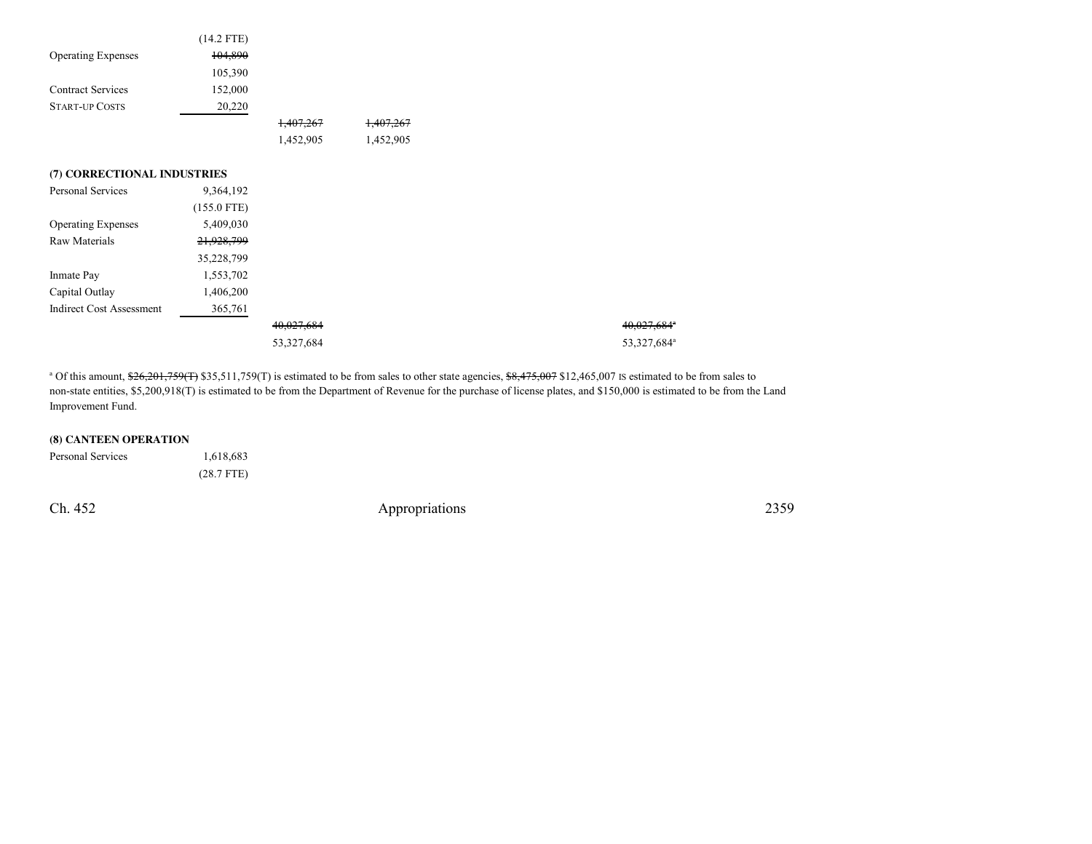|                                 | $(14.2$ FTE)  |                       |           |
|---------------------------------|---------------|-----------------------|-----------|
| <b>Operating Expenses</b>       | 104,890       |                       |           |
|                                 | 105,390       |                       |           |
| <b>Contract Services</b>        | 152,000       |                       |           |
| <b>START-UP COSTS</b>           | 20,220        |                       |           |
|                                 |               | 1,407,267             | 1,407,267 |
|                                 |               | 1,452,905             | 1,452,905 |
|                                 |               |                       |           |
| (7) CORRECTIONAL INDUSTRIES     |               |                       |           |
| Personal Services               | 9,364,192     |                       |           |
|                                 | $(155.0$ FTE) |                       |           |
| <b>Operating Expenses</b>       | 5,409,030     |                       |           |
| Raw Materials                   | 21,928,799    |                       |           |
|                                 | 35,228,799    |                       |           |
| Inmate Pay                      | 1,553,702     |                       |           |
| Capital Outlay                  | 1,406,200     |                       |           |
| <b>Indirect Cost Assessment</b> | 365,761       |                       |           |
|                                 |               | <del>40,027,684</del> |           |
|                                 |               | 53,327,684            |           |

<sup>a</sup> Of this amount,  $$26,201,759(T)$  \$35,511,759(T) is estimated to be from sales to other state agencies,  $$8,475,007$  \$12,465,007 IS estimated to be from sales to non-state entities, \$5,200,918(T) is estimated to be from the Department of Revenue for the purchase of license plates, and \$150,000 is estimated to be from the LandImprovement Fund.

#### **(8) CANTEEN OPERATION**

| Personal Services | 1,618,683    |
|-------------------|--------------|
|                   | $(28.7$ FTE) |

Ch. 452

Appropriations <sup>2359</sup>

40,027,684<sup>a</sup>

53,327,684<sup>a</sup>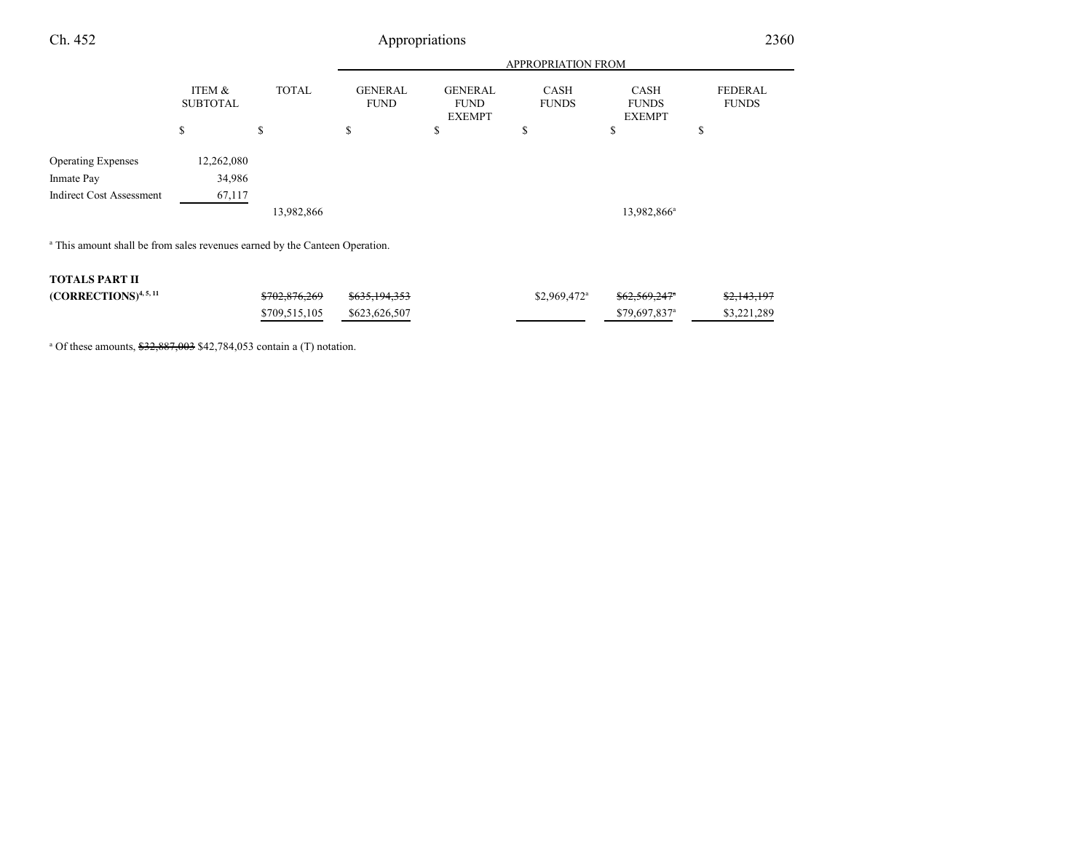| Ch. 452                                                                                |                           |              |                               | Appropriations                                 |                             |                                              | 2360                           |
|----------------------------------------------------------------------------------------|---------------------------|--------------|-------------------------------|------------------------------------------------|-----------------------------|----------------------------------------------|--------------------------------|
|                                                                                        |                           |              |                               |                                                | <b>APPROPRIATION FROM</b>   |                                              |                                |
|                                                                                        | ITEM &<br><b>SUBTOTAL</b> | <b>TOTAL</b> | <b>GENERAL</b><br><b>FUND</b> | <b>GENERAL</b><br><b>FUND</b><br><b>EXEMPT</b> | <b>CASH</b><br><b>FUNDS</b> | <b>CASH</b><br><b>FUNDS</b><br><b>EXEMPT</b> | <b>FEDERAL</b><br><b>FUNDS</b> |
|                                                                                        | \$                        | \$           | \$                            | \$                                             | \$                          | \$                                           | \$                             |
| <b>Operating Expenses</b><br>Inmate Pay                                                | 12,262,080<br>34,986      |              |                               |                                                |                             |                                              |                                |
| <b>Indirect Cost Assessment</b>                                                        | 67,117                    |              |                               |                                                |                             |                                              |                                |
|                                                                                        |                           | 13,982,866   |                               |                                                |                             | 13,982,866 <sup>a</sup>                      |                                |
| <sup>a</sup> This amount shall be from sales revenues earned by the Canteen Operation. |                           |              |                               |                                                |                             |                                              |                                |

#### **TOTALS PART II**

| $(CORRECTIONS)^{4, 5, 11}$ | <del>\$702,876,269</del>    | <del>\$635,194,353</del> | $$2,969,472$ <sup>a</sup> | <del>\$62.569.247°</del>   | <del>\$2,143,197</del> |
|----------------------------|-----------------------------|--------------------------|---------------------------|----------------------------|------------------------|
|                            | \$709,515,105 \$623,626,507 |                          |                           | $$79.697.837$ <sup>a</sup> | \$3,221,289            |

<sup>a</sup> Of these amounts,  $$32,887,003$  \$42,784,053 contain a (T) notation.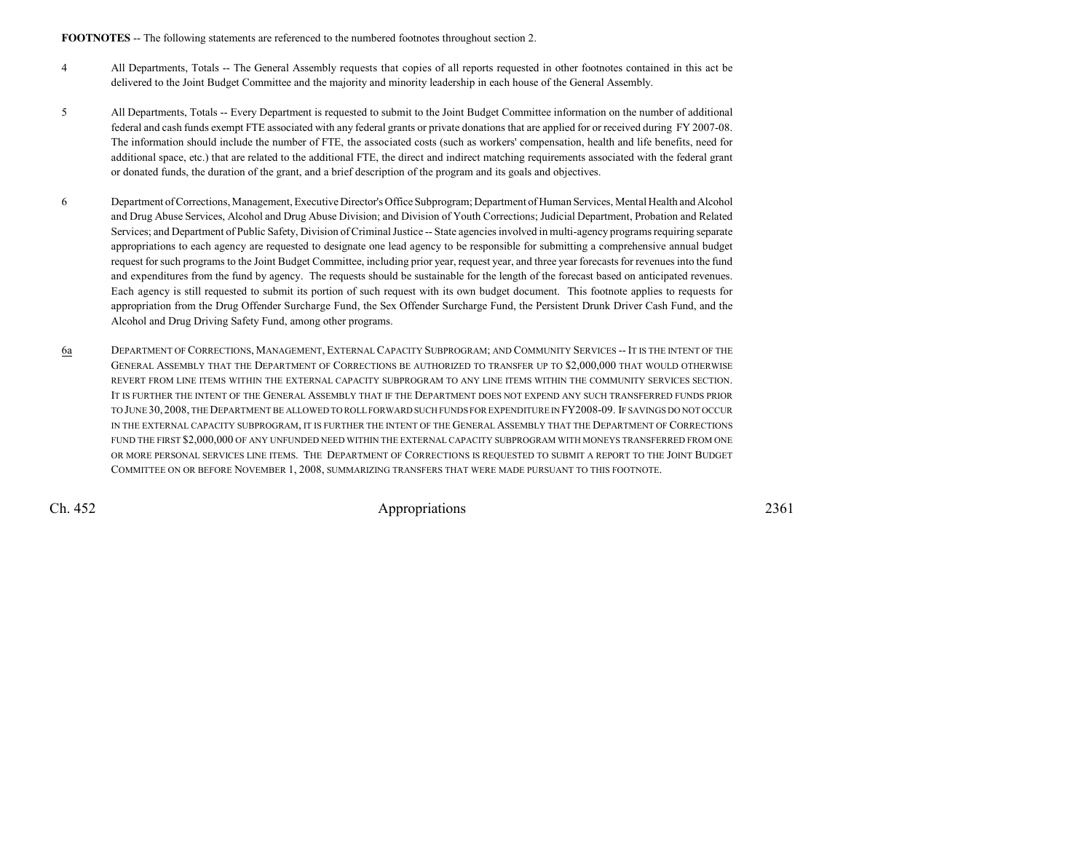**FOOTNOTES** -- The following statements are referenced to the numbered footnotes throughout section 2.

- <sup>4</sup> All Departments, Totals -- The General Assembly requests that copies of all reports requested in other footnotes contained in this act be delivered to the Joint Budget Committee and the majority and minority leadership in each house of the General Assembly.
- <sup>5</sup> All Departments, Totals -- Every Department is requested to submit to the Joint Budget Committee information on the number of additional federal and cash funds exempt FTE associated with any federal grants or private donations that are applied for or received during FY 2007-08.The information should include the number of FTE, the associated costs (such as workers' compensation, health and life benefits, need foradditional space, etc.) that are related to the additional FTE, the direct and indirect matching requirements associated with the federal grantor donated funds, the duration of the grant, and a brief description of the program and its goals and objectives.
- <sup>6</sup> Department of Corrections, Management, Executive Director's Office Subprogram; Department of Human Services, Mental Health and Alcohol and Drug Abuse Services, Alcohol and Drug Abuse Division; and Division of Youth Corrections; Judicial Department, Probation and Related Services; and Department of Public Safety, Division of Criminal Justice -- State agencies involved in multi-agency programs requiring separate appropriations to each agency are requested to designate one lead agency to be responsible for submitting a comprehensive annual budgetrequest for such programs to the Joint Budget Committee, including prior year, request year, and three year forecasts for revenues into the fund and expenditures from the fund by agency. The requests should be sustainable for the length of the forecast based on anticipated revenues.Each agency is still requested to submit its portion of such request with its own budget document. This footnote applies to requests forappropriation from the Drug Offender Surcharge Fund, the Sex Offender Surcharge Fund, the Persistent Drunk Driver Cash Fund, and theAlcohol and Drug Driving Safety Fund, among other programs.
- 6a DEPARTMENT OF CORRECTIONS, MANAGEMENT, EXTERNAL CAPACITY SUBPROGRAM; AND COMMUNITY SERVICES -- <sup>I</sup>T IS THE INTENT OF THE GENERAL ASSEMBLY THAT THE DEPARTMENT OF CORRECTIONS BE AUTHORIZED TO TRANSFER UP TO \$2,000,000 THAT WOULD OTHERWISE REVERT FROM LINE ITEMS WITHIN THE EXTERNAL CAPACITY SUBPROGRAM TO ANY LINE ITEMS WITHIN THE COMMUNITY SERVICES SECTION.IT IS FURTHER THE INTENT OF THE GENERAL ASSEMBLY THAT IF THE DEPARTMENT DOES NOT EXPEND ANY SUCH TRANSFERRED FUNDS PRIOR TO JUNE 30, 2008, THE DEPARTMENT BE ALLOWED TO ROLL FORWARD SUCH FUNDS FOR EXPENDITURE IN FY2008-09. IF SAVINGS DO NOT OCCUR IN THE EXTERNAL CAPACITY SUBPROGRAM, IT IS FURTHER THE INTENT OF THE GENERAL ASSEMBLY THAT THE DEPARTMENT OF CORRECTIONS FUND THE FIRST \$2,000,000 OF ANY UNFUNDED NEED WITHIN THE EXTERNAL CAPACITY SUBPROGRAM WITH MONEYS TRANSFERRED FROM ONE OR MORE PERSONAL SERVICES LINE ITEMS. THE DEPARTMENT OF CORRECTIONS IS REQUESTED TO SUBMIT A REPORT TO THE JOINT BUDGETCOMMITTEE ON OR BEFORE NOVEMBER 1, 2008, SUMMARIZING TRANSFERS THAT WERE MADE PURSUANT TO THIS FOOTNOTE.

Ch. 452

2361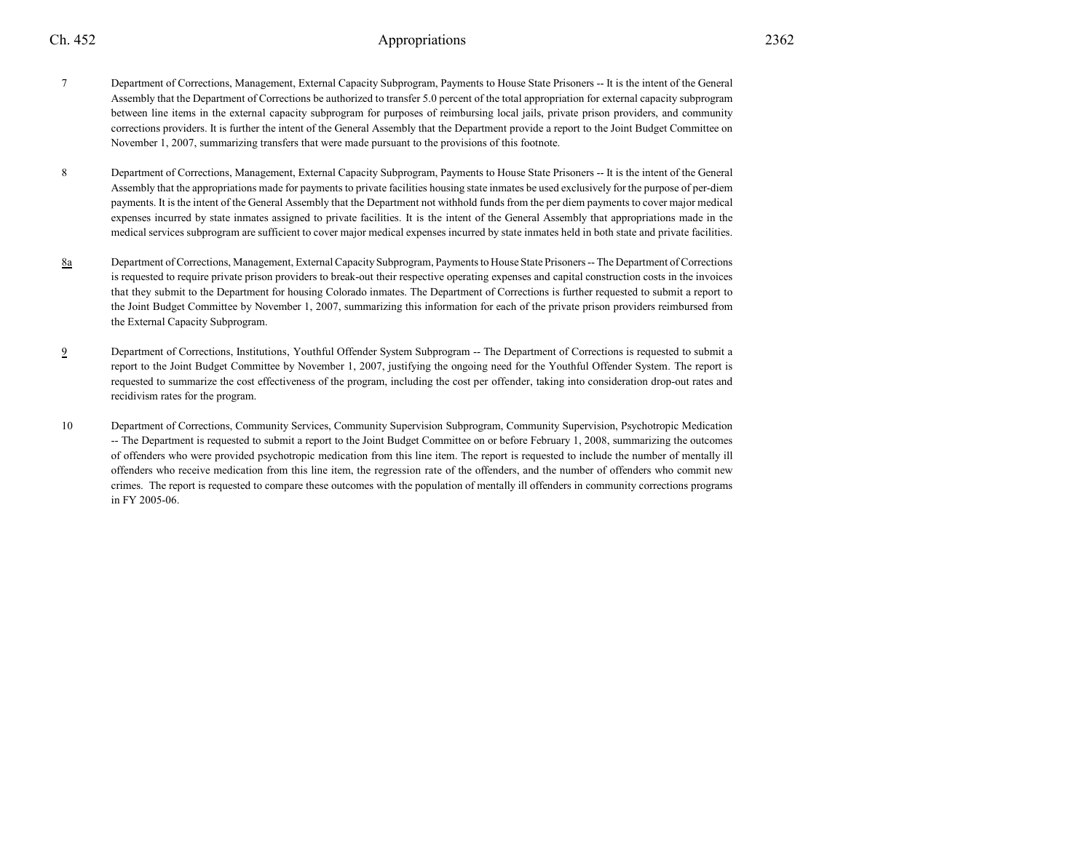# 2

- <sup>7</sup> Department of Corrections, Management, External Capacity Subprogram, Payments to House State Prisoners -- It is the intent of the General Assembly that the Department of Corrections be authorized to transfer 5.0 percent of the total appropriation for external capacity subprogram between line items in the external capacity subprogram for purposes of reimbursing local jails, private prison providers, and community corrections providers. It is further the intent of the General Assembly that the Department provide a report to the Joint Budget Committee onNovember 1, 2007, summarizing transfers that were made pursuant to the provisions of this footnote.
- <sup>8</sup> Department of Corrections, Management, External Capacity Subprogram, Payments to House State Prisoners -- It is the intent of the General Assembly that the appropriations made for payments to private facilities housing state inmates be used exclusively for the purpose of per-diem payments. It is the intent of the General Assembly that the Department not withhold funds from the per diem payments to cover major medicalexpenses incurred by state inmates assigned to private facilities. It is the intent of the General Assembly that appropriations made in themedical services subprogram are sufficient to cover major medical expenses incurred by state inmates held in both state and private facilities.
- 8a Department of Corrections, Management, External Capacity Subprogram, Payments to House State Prisoners -- The Department of Corrections is requested to require private prison providers to break-out their respective operating expenses and capital construction costs in the invoicesthat they submit to the Department for housing Colorado inmates. The Department of Corrections is further requested to submit a report to the Joint Budget Committee by November 1, 2007, summarizing this information for each of the private prison providers reimbursed fromthe External Capacity Subprogram.
- 9 Department of Corrections, Institutions, Youthful Offender System Subprogram -- The Department of Corrections is requested to submit a report to the Joint Budget Committee by November 1, 2007, justifying the ongoing need for the Youthful Offender System. The report is requested to summarize the cost effectiveness of the program, including the cost per offender, taking into consideration drop-out rates andrecidivism rates for the program.
- <sup>10</sup> Department of Corrections, Community Services, Community Supervision Subprogram, Community Supervision, Psychotropic Medication -- The Department is requested to submit a report to the Joint Budget Committee on or before February 1, 2008, summarizing the outcomes of offenders who were provided psychotropic medication from this line item. The report is requested to include the number of mentally illoffenders who receive medication from this line item, the regression rate of the offenders, and the number of offenders who commit new crimes. The report is requested to compare these outcomes with the population of mentally ill offenders in community corrections programsin FY 2005-06.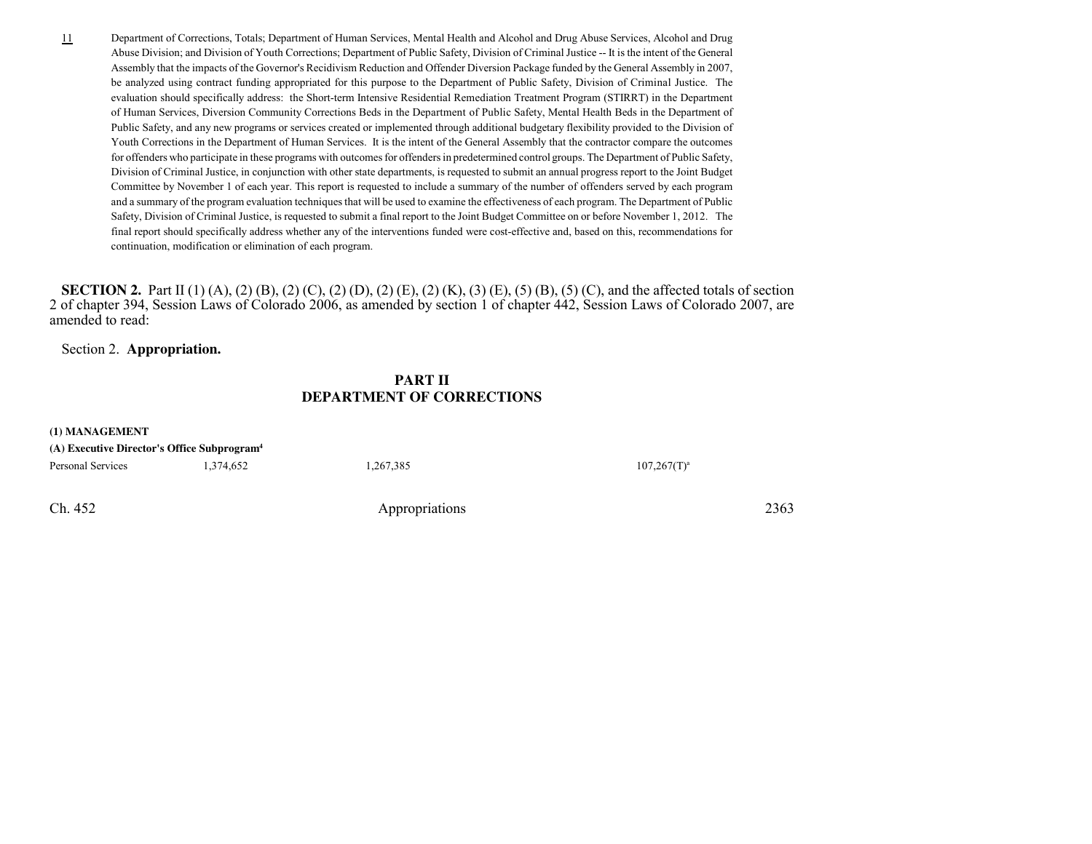Department of Corrections, Totals; Department of Human Services, Mental Health and Alcohol and Drug Abuse Services, Alcohol and Drug Abuse Division; and Division of Youth Corrections; Department of Public Safety, Division of Criminal Justice -- It is the intent of the GeneralAssembly that the impacts of the Governor's Recidivism Reduction and Offender Diversion Package funded by the General Assembly in 2007,be analyzed using contract funding appropriated for this purpose to the Department of Public Safety, Division of Criminal Justice. The evaluation should specifically address: the Short-term Intensive Residential Remediation Treatment Program (STIRRT) in the Departmentof Human Services, Diversion Community Corrections Beds in the Department of Public Safety, Mental Health Beds in the Department ofPublic Safety, and any new programs or services created or implemented through additional budgetary flexibility provided to the Division of Youth Corrections in the Department of Human Services. It is the intent of the General Assembly that the contractor compare the outcomes for offenders who participate in these programs with outcomes for offenders in predetermined control groups. The Department of Public Safety,Division of Criminal Justice, in conjunction with other state departments, is requested to submit an annual progress report to the Joint BudgetCommittee by November 1 of each year. This report is requested to include a summary of the number of offenders served by each program and a summary of the program evaluation techniques that will be used to examine the effectiveness of each program. The Department of Public Safety, Division of Criminal Justice, is requested to submit a final report to the Joint Budget Committee on or before November 1, 2012. The final report should specifically address whether any of the interventions funded were cost-effective and, based on this, recommendations forcontinuation, modification or elimination of each program.

**SECTION 2.** Part II (1) (A), (2) (B), (2) (C), (2) (D), (2) (E), (2) (K), (3) (E), (5) (B), (5) (C), and the affected totals of section 2 of chapter 394, Session Laws of Colorado 2006, as amended by section 1 of chapter 442, Session Laws of Colorado 2007, areamended to read:

Section 2. **Appropriation.**

## **PART IIDEPARTMENT OF CORRECTIONS**

| (1) MANAGEMENT                                          |           |                |                |
|---------------------------------------------------------|-----------|----------------|----------------|
| (A) Executive Director's Office Subprogram <sup>4</sup> |           |                |                |
| Personal Services                                       | 1,374,652 | 1,267,385      | $107,267(T)^a$ |
| Ch. 452                                                 |           | Appropriations | 2363           |

Ch. 452

11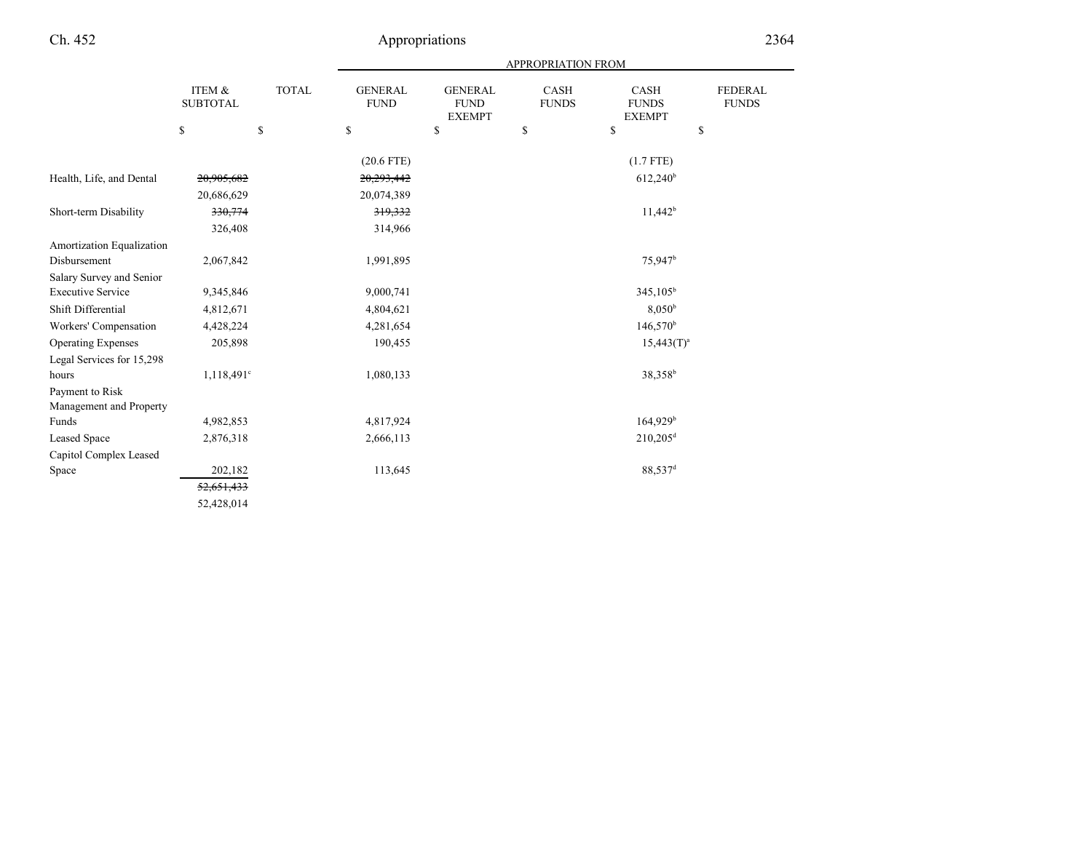|                           |                                      |              | APPROPRIATION FROM            |                                                |                      |                                       |                                             |
|---------------------------|--------------------------------------|--------------|-------------------------------|------------------------------------------------|----------------------|---------------------------------------|---------------------------------------------|
|                           | <b>ITEM &amp;</b><br><b>SUBTOTAL</b> | <b>TOTAL</b> | <b>GENERAL</b><br><b>FUND</b> | <b>GENERAL</b><br><b>FUND</b><br><b>EXEMPT</b> | CASH<br><b>FUNDS</b> | CASH<br><b>FUNDS</b><br><b>EXEMPT</b> | <b>FEDERAL</b><br><b>FUNDS</b>              |
|                           | \$                                   | $\mathbb{S}$ | \$                            | \$                                             | \$                   | \$                                    | $\mathbb{S}% _{n}^{X\rightarrow\mathbb{R}}$ |
|                           |                                      |              | $(20.6$ FTE)                  |                                                |                      | $(1.7$ FTE)                           |                                             |
| Health, Life, and Dental  | 20,905,682                           |              | 20,293,442                    |                                                |                      | $612,240$ <sup>b</sup>                |                                             |
|                           | 20,686,629                           |              | 20,074,389                    |                                                |                      |                                       |                                             |
| Short-term Disability     | 330,774                              |              | 319,332                       |                                                |                      | $11,442^b$                            |                                             |
|                           | 326,408                              |              | 314,966                       |                                                |                      |                                       |                                             |
| Amortization Equalization |                                      |              |                               |                                                |                      |                                       |                                             |
| Disbursement              | 2,067,842                            |              | 1,991,895                     |                                                |                      | 75,947 <sup>b</sup>                   |                                             |
| Salary Survey and Senior  |                                      |              |                               |                                                |                      |                                       |                                             |
| <b>Executive Service</b>  | 9,345,846                            |              | 9,000,741                     |                                                |                      | $345,105^b$                           |                                             |
| Shift Differential        | 4,812,671                            |              | 4,804,621                     |                                                |                      | $8,050^{\rm b}$                       |                                             |
| Workers' Compensation     | 4,428,224                            |              | 4,281,654                     |                                                |                      | $146,570^{\rm b}$                     |                                             |
| <b>Operating Expenses</b> | 205,898                              |              | 190,455                       |                                                |                      | $15,443(T)^a$                         |                                             |
| Legal Services for 15,298 |                                      |              |                               |                                                |                      |                                       |                                             |
| hours                     | 1,118,491°                           |              | 1,080,133                     |                                                |                      | 38,358 <sup>b</sup>                   |                                             |
| Payment to Risk           |                                      |              |                               |                                                |                      |                                       |                                             |
| Management and Property   |                                      |              |                               |                                                |                      |                                       |                                             |
| Funds                     | 4,982,853                            |              | 4,817,924                     |                                                |                      | 164,929 <sup>b</sup>                  |                                             |
| Leased Space              | 2,876,318                            |              | 2,666,113                     |                                                |                      | $210,205$ <sup>d</sup>                |                                             |
| Capitol Complex Leased    |                                      |              |                               |                                                |                      |                                       |                                             |
| Space                     | 202,182                              |              | 113,645                       |                                                |                      | 88,537 <sup>d</sup>                   |                                             |
|                           | 52,651,433                           |              |                               |                                                |                      |                                       |                                             |
|                           | 52,428,014                           |              |                               |                                                |                      |                                       |                                             |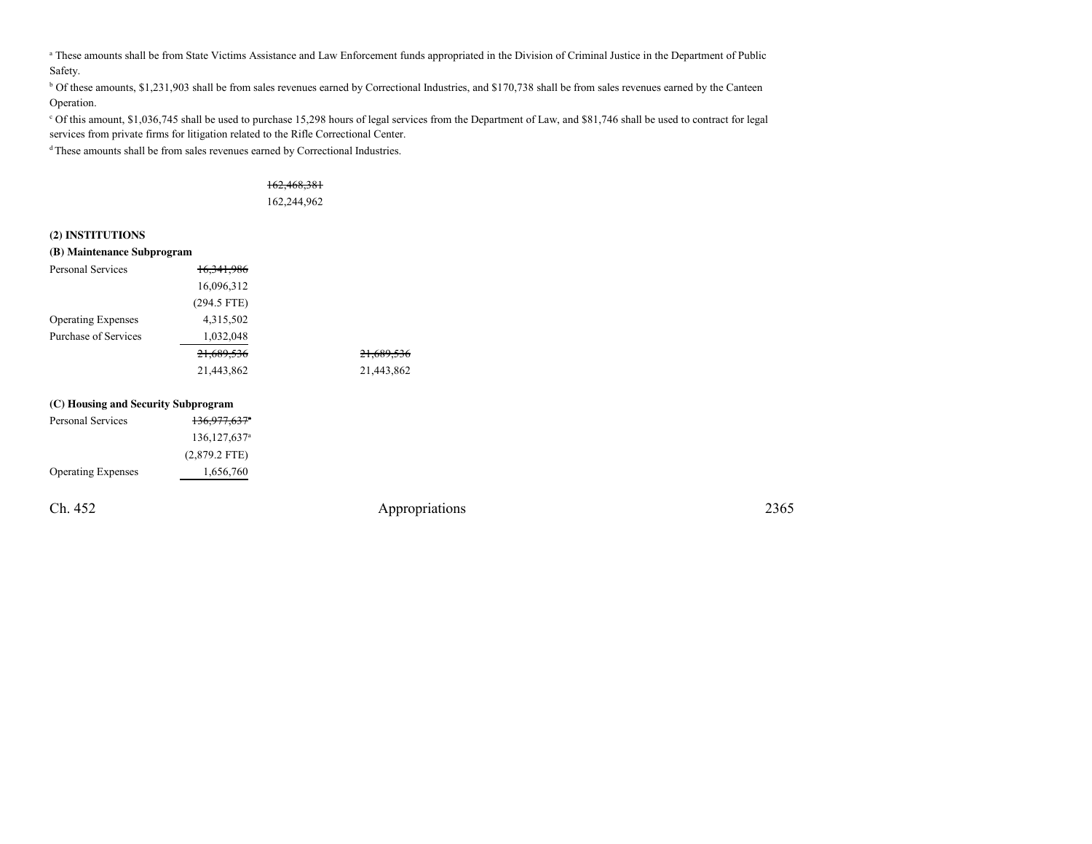a These amounts shall be from State Victims Assistance and Law Enforcement funds appropriated in the Division of Criminal Justice in the Department of Public Safety.

<sup>b</sup> Of these amounts, \$1,231,903 shall be from sales revenues earned by Correctional Industries, and \$170,738 shall be from sales revenues earned by the Canteen Operation.

c Of this amount, \$1,036,745 shall be used to purchase 15,298 hours of legal services from the Department of Law, and \$81,746 shall be used to contract for legalservices from private firms for litigation related to the Rifle Correctional Center.

<sup>d</sup>These amounts shall be from sales revenues earned by Correctional Industries.

#### 162,468,381

162,244,962

#### **(2) INSTITUTIONS**

| (B) Maintenance Subprogram          |                       |                       |
|-------------------------------------|-----------------------|-----------------------|
| Personal Services                   | <del>16.341.986</del> |                       |
|                                     | 16,096,312            |                       |
|                                     | $(294.5$ FTE)         |                       |
| <b>Operating Expenses</b>           | 4,315,502             |                       |
| Purchase of Services                | 1,032,048             |                       |
|                                     | 21,689,536            | <del>21,689,536</del> |
|                                     | 21,443,862            | 21,443,862            |
| (C) Housing and Security Subprogram |                       |                       |
| Doronal Corrigeo                    | 126.077.6278          |                       |

| Ch. 452                   |                              | Appropriations | 2365 |
|---------------------------|------------------------------|----------------|------|
| <b>Operating Expenses</b> | 1,656,760                    |                |      |
|                           | $(2,879.2$ FTE)              |                |      |
|                           | $136, 127, 637$ <sup>a</sup> |                |      |
| Personal Services         | <del>136,977,637</del> *     |                |      |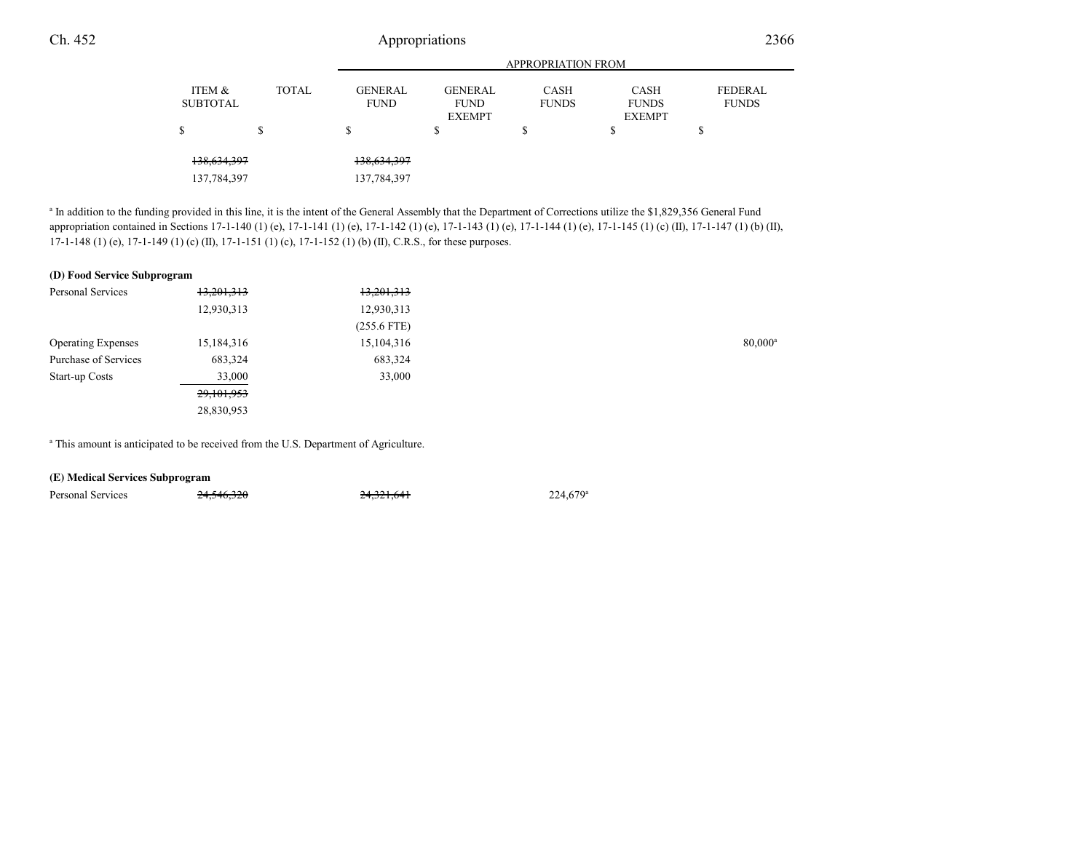138,634,397 138,634,397 137,784,397 137,784,397

<sup>a</sup> In addition to the funding provided in this line, it is the intent of the General Assembly that the Department of Corrections utilize the \$1,829,356 General Fund appropriation contained in Sections 17-1-140 (1) (e), 17-1-141 (1) (e), 17-1-142 (1) (e), 17-1-143 (1) (e), 17-1-144 (1) (e), 17-1-145 (1) (c) (II), 17-1-147 (1) (b) (II),17-1-148 (1) (e), 17-1-149 (1) (c) (II), 17-1-151 (1) (c), 17-1-152 (1) (b) (II), C.R.S., for these purposes.

#### **(D) Food Service Subprogram**

| Personal Services         | 13,201,313 | 13,201,313    |                  |
|---------------------------|------------|---------------|------------------|
|                           | 12,930,313 | 12,930,313    |                  |
|                           |            | $(255.6$ FTE) |                  |
| <b>Operating Expenses</b> | 15,184,316 | 15,104,316    | $80,000^{\circ}$ |
| Purchase of Services      | 683,324    | 683,324       |                  |
| Start-up Costs            | 33,000     | 33,000        |                  |
|                           | 29,101,953 |               |                  |
|                           | 28,830,953 |               |                  |
|                           |            |               |                  |

<sup>a</sup> This amount is anticipated to be received from the U.S. Department of Agriculture.

24,546,320

| (E) Medical Services Subprogram |  |
|---------------------------------|--|
|---------------------------------|--|

Personal Services  $24,546,320$   $24,321,641$   $224,679^{\circ}$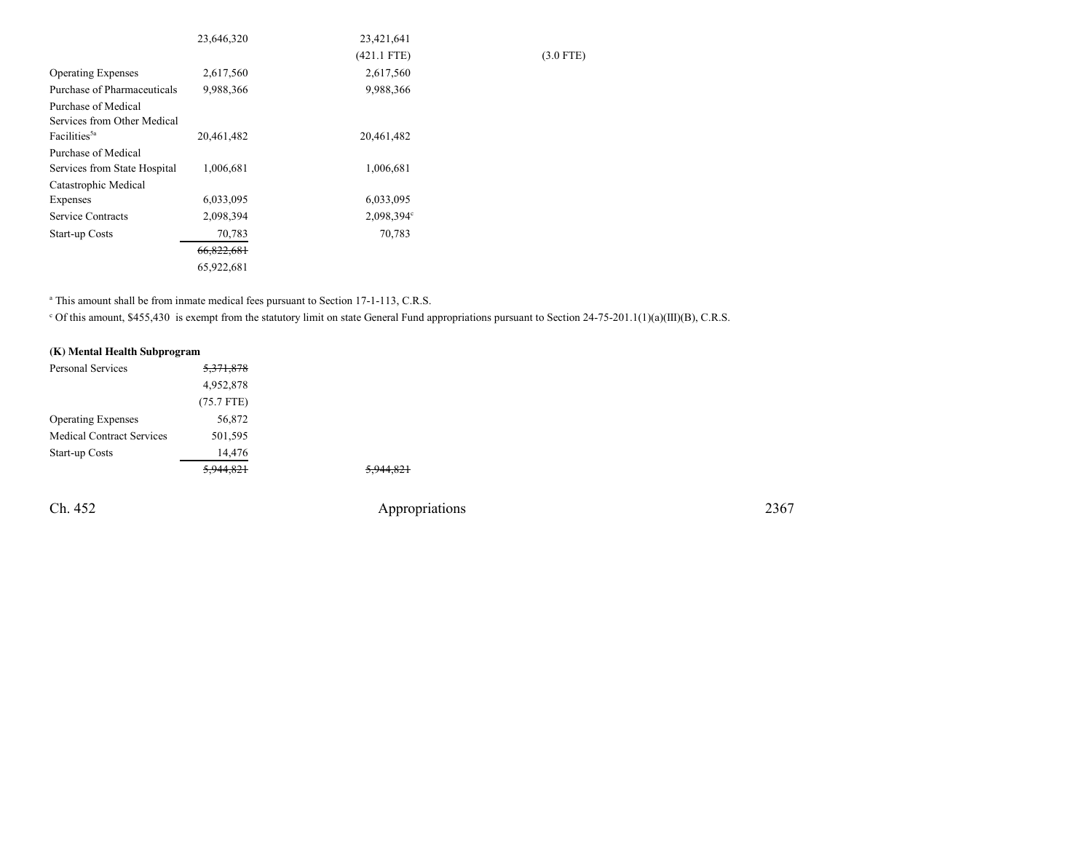|                              | 23,646,320 | 23,421,641    |             |
|------------------------------|------------|---------------|-------------|
|                              |            | $(421.1$ FTE) | $(3.0$ FTE) |
| <b>Operating Expenses</b>    | 2,617,560  | 2,617,560     |             |
| Purchase of Pharmaceuticals  | 9,988,366  | 9,988,366     |             |
| Purchase of Medical          |            |               |             |
| Services from Other Medical  |            |               |             |
| Facilities <sup>5a</sup>     | 20,461,482 | 20,461,482    |             |
| Purchase of Medical          |            |               |             |
| Services from State Hospital | 1,006,681  | 1,006,681     |             |
| Catastrophic Medical         |            |               |             |
| Expenses                     | 6,033,095  | 6,033,095     |             |
| Service Contracts            | 2,098,394  | 2,098,394°    |             |
| Start-up Costs               | 70,783     | 70,783        |             |
|                              | 66,822,681 |               |             |
|                              | 65,922,681 |               |             |

<sup>a</sup> This amount shall be from inmate medical fees pursuant to Section 17-1-113, C.R.S.

<sup>c</sup> Of this amount, \$455,430 is exempt from the statutory limit on state General Fund appropriations pursuant to Section 24-75-201.1(1)(a)(III)(B), C.R.S.

5,944,821

| (K) Mental Health Subprogram     |                      |  |  |
|----------------------------------|----------------------|--|--|
| Personal Services                | <del>5,371,878</del> |  |  |
|                                  | 4,952,878            |  |  |
|                                  | $(75.7$ FTE)         |  |  |
| <b>Operating Expenses</b>        | 56,872               |  |  |
| <b>Medical Contract Services</b> | 501,595              |  |  |
| <b>Start-up Costs</b>            | 14,476               |  |  |
|                                  |                      |  |  |

Ch. 452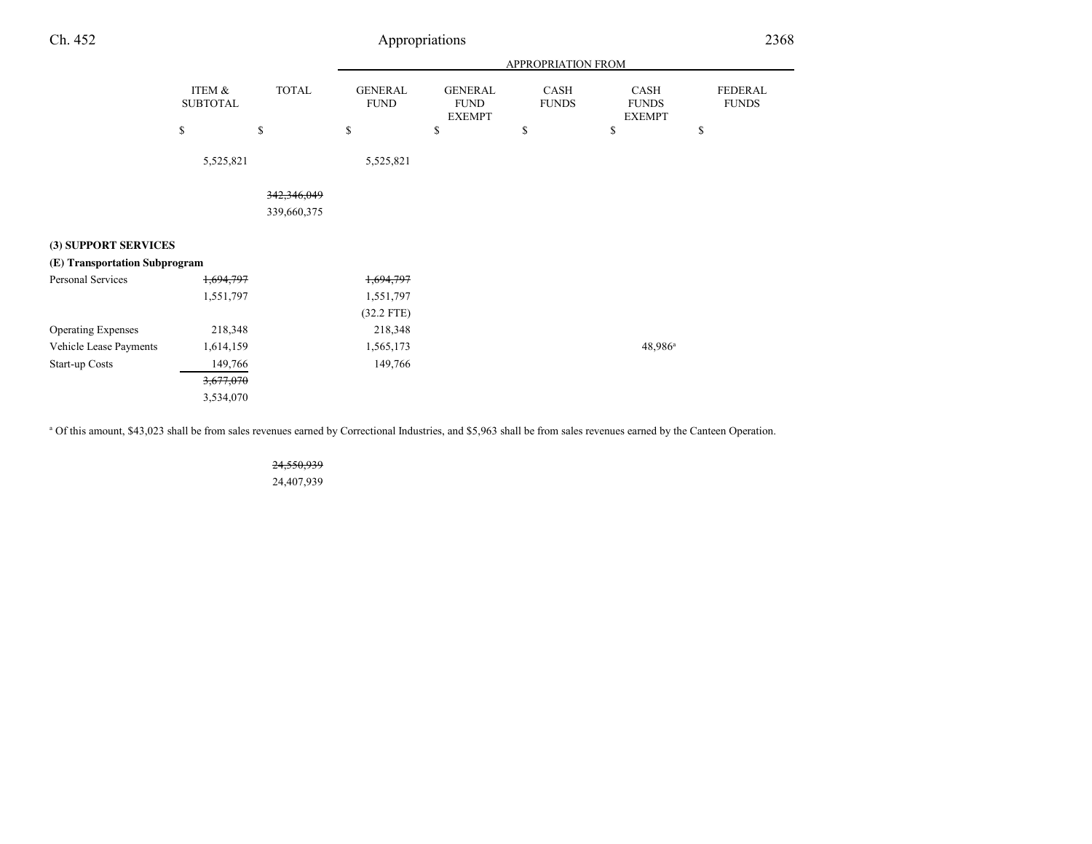# Appropriations

|                               |                           |              | APPROPRIATION FROM            |                                                |                      |                                       |                         |
|-------------------------------|---------------------------|--------------|-------------------------------|------------------------------------------------|----------------------|---------------------------------------|-------------------------|
|                               | ITEM &<br><b>SUBTOTAL</b> | <b>TOTAL</b> | <b>GENERAL</b><br><b>FUND</b> | <b>GENERAL</b><br><b>FUND</b><br><b>EXEMPT</b> | CASH<br><b>FUNDS</b> | CASH<br><b>FUNDS</b><br><b>EXEMPT</b> | FEDERAL<br><b>FUNDS</b> |
|                               | \$                        | \$           | \$                            | \$                                             | \$                   | \$                                    | \$                      |
|                               | 5,525,821                 |              | 5,525,821                     |                                                |                      |                                       |                         |
|                               |                           | 342,346,049  |                               |                                                |                      |                                       |                         |
|                               |                           | 339,660,375  |                               |                                                |                      |                                       |                         |
|                               |                           |              |                               |                                                |                      |                                       |                         |
| (3) SUPPORT SERVICES          |                           |              |                               |                                                |                      |                                       |                         |
| (E) Transportation Subprogram |                           |              |                               |                                                |                      |                                       |                         |
| Personal Services             | 1,694,797                 |              | 1,694,797                     |                                                |                      |                                       |                         |
|                               | 1,551,797                 |              | 1,551,797                     |                                                |                      |                                       |                         |
|                               |                           |              | $(32.2$ FTE)                  |                                                |                      |                                       |                         |
| <b>Operating Expenses</b>     | 218,348                   |              | 218,348                       |                                                |                      |                                       |                         |
| Vehicle Lease Payments        | 1,614,159                 |              | 1,565,173                     |                                                |                      | 48,986 <sup>a</sup>                   |                         |
| Start-up Costs                | 149,766                   |              | 149,766                       |                                                |                      |                                       |                         |
|                               | 3,677,070                 |              |                               |                                                |                      |                                       |                         |
|                               | 3,534,070                 |              |                               |                                                |                      |                                       |                         |

a Of this amount, \$43,023 shall be from sales revenues earned by Correctional Industries, and \$5,963 shall be from sales revenues earned by the Canteen Operation.

24,550,93924,407,939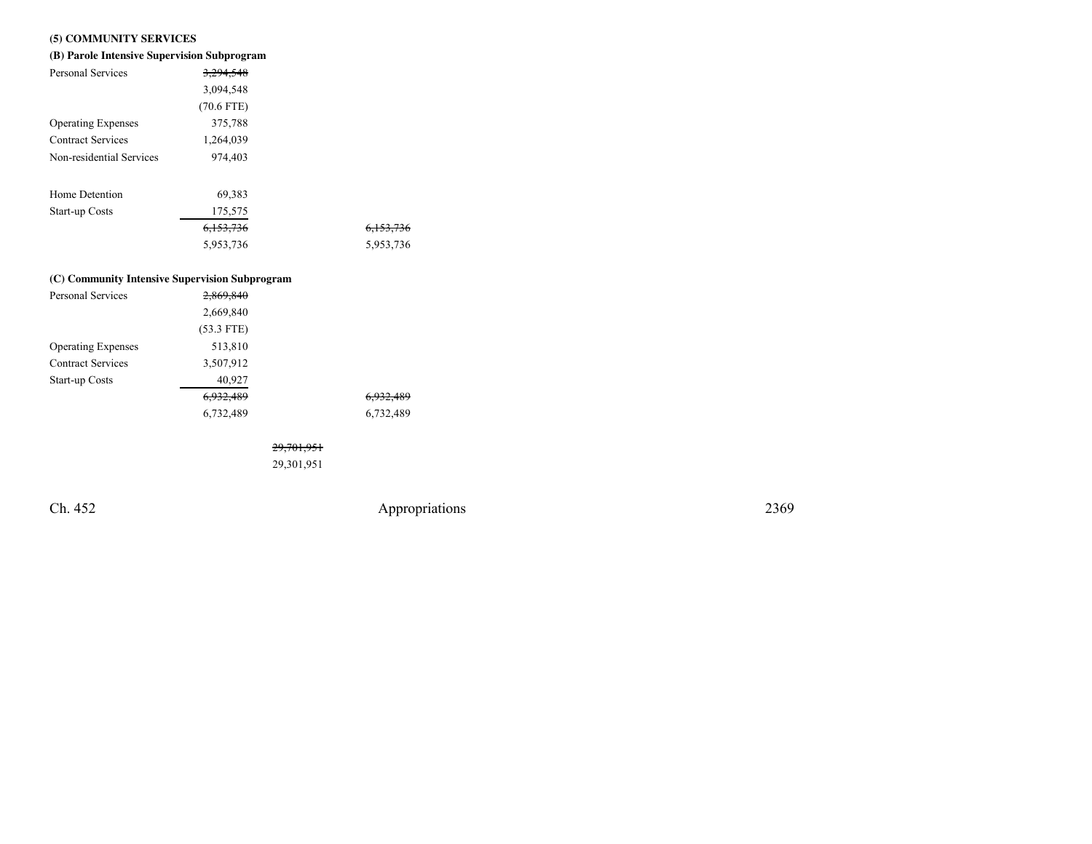## **(5) COMMUNITY SERVICES**

| (B) Parole Intensive Supervision Subprogram    |              |                      |  |  |  |
|------------------------------------------------|--------------|----------------------|--|--|--|
| Personal Services                              | 3.294.548    |                      |  |  |  |
|                                                | 3,094,548    |                      |  |  |  |
|                                                | $(70.6$ FTE) |                      |  |  |  |
| <b>Operating Expenses</b>                      | 375,788      |                      |  |  |  |
| <b>Contract Services</b>                       | 1,264,039    |                      |  |  |  |
| Non-residential Services                       | 974,403      |                      |  |  |  |
|                                                |              |                      |  |  |  |
| Home Detention                                 | 69,383       |                      |  |  |  |
| Start-up Costs                                 | 175,575      |                      |  |  |  |
|                                                | 6,153,736    | <del>6,153,736</del> |  |  |  |
|                                                | 5,953,736    | 5,953,736            |  |  |  |
|                                                |              |                      |  |  |  |
| (C) Community Intensive Supervision Subprogram |              |                      |  |  |  |

| Personal Services         | 2,869,840    |                      |
|---------------------------|--------------|----------------------|
|                           | 2,669,840    |                      |
|                           | $(53.3$ FTE) |                      |
| <b>Operating Expenses</b> | 513,810      |                      |
| <b>Contract Services</b>  | 3,507,912    |                      |
| <b>Start-up Costs</b>     | 40,927       |                      |
|                           | 6,932,489    | <del>6,932,489</del> |
|                           | 6,732,489    | 6,732,489            |
|                           |              |                      |

29,701,951

29,301,951

Ch. 452